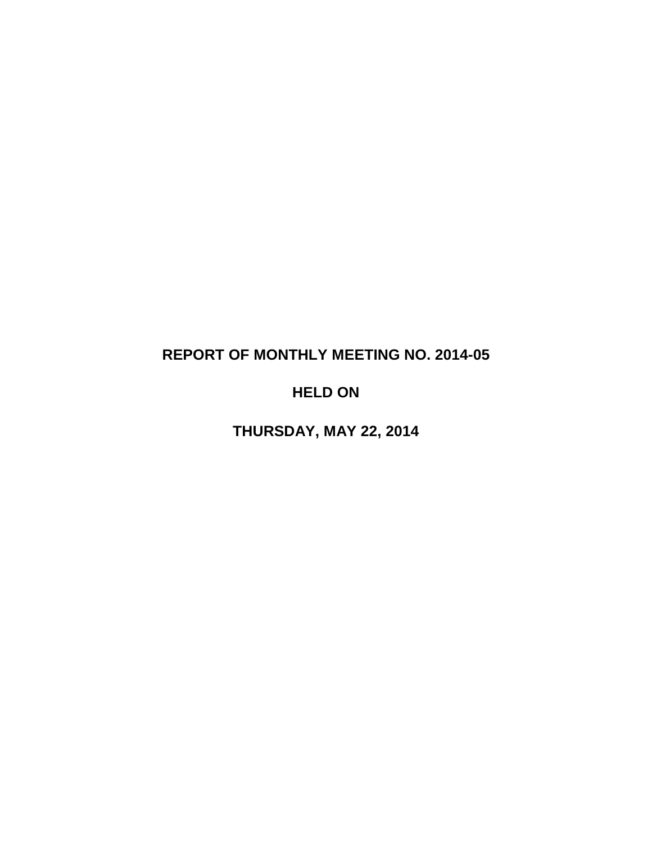# **REPORT OF MONTHLY MEETING NO. 2014-05**

# **HELD ON**

**THURSDAY, MAY 22, 2014**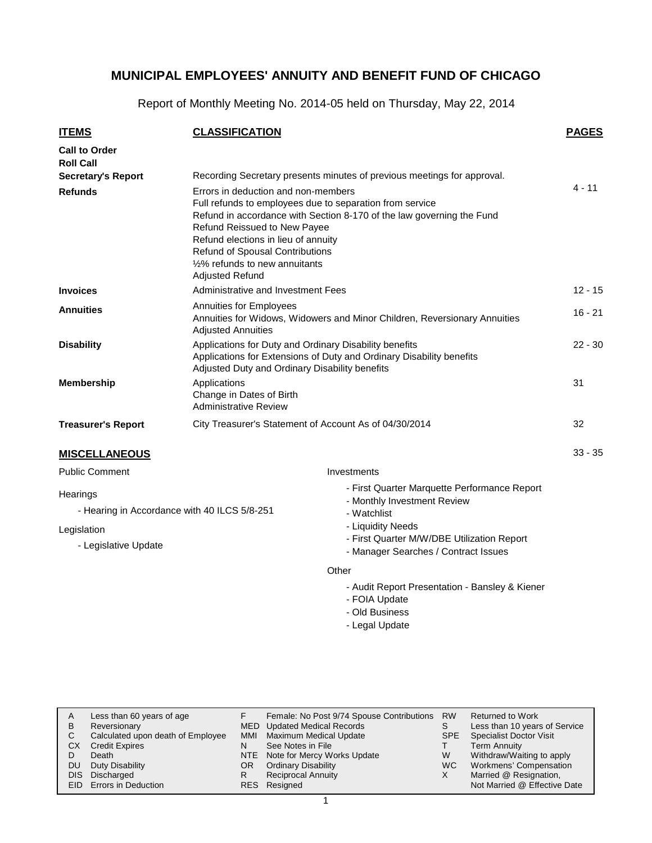Report of Monthly Meeting No. 2014-05 held on Thursday, May 22, 2014

| <b>ITEMS</b>                                                                                    | <b>CLASSIFICATION</b>                                                                                                                                                                                                                                                                                                                                        |                                                                                                                                                                                                       | <b>PAGES</b> |  |
|-------------------------------------------------------------------------------------------------|--------------------------------------------------------------------------------------------------------------------------------------------------------------------------------------------------------------------------------------------------------------------------------------------------------------------------------------------------------------|-------------------------------------------------------------------------------------------------------------------------------------------------------------------------------------------------------|--------------|--|
| <b>Call to Order</b><br><b>Roll Call</b>                                                        |                                                                                                                                                                                                                                                                                                                                                              |                                                                                                                                                                                                       |              |  |
| <b>Secretary's Report</b>                                                                       |                                                                                                                                                                                                                                                                                                                                                              | Recording Secretary presents minutes of previous meetings for approval.                                                                                                                               | 4 - 11       |  |
| <b>Refunds</b>                                                                                  | Errors in deduction and non-members<br>Full refunds to employees due to separation from service<br>Refund in accordance with Section 8-170 of the law governing the Fund<br><b>Refund Reissued to New Payee</b><br>Refund elections in lieu of annuity<br><b>Refund of Spousal Contributions</b><br>1/2% refunds to new annuitants<br><b>Adjusted Refund</b> |                                                                                                                                                                                                       |              |  |
| <b>Invoices</b>                                                                                 | Administrative and Investment Fees                                                                                                                                                                                                                                                                                                                           |                                                                                                                                                                                                       | $12 - 15$    |  |
| <b>Annuities</b>                                                                                | Annuities for Employees<br>Annuities for Widows, Widowers and Minor Children, Reversionary Annuities<br><b>Adjusted Annuities</b>                                                                                                                                                                                                                            |                                                                                                                                                                                                       |              |  |
| <b>Disability</b>                                                                               | Applications for Duty and Ordinary Disability benefits<br>Applications for Extensions of Duty and Ordinary Disability benefits<br>Adjusted Duty and Ordinary Disability benefits                                                                                                                                                                             |                                                                                                                                                                                                       |              |  |
| <b>Membership</b>                                                                               | Applications<br>Change in Dates of Birth<br><b>Administrative Review</b>                                                                                                                                                                                                                                                                                     |                                                                                                                                                                                                       |              |  |
| <b>Treasurer's Report</b>                                                                       | City Treasurer's Statement of Account As of 04/30/2014                                                                                                                                                                                                                                                                                                       |                                                                                                                                                                                                       | 32           |  |
| <b>MISCELLANEOUS</b>                                                                            |                                                                                                                                                                                                                                                                                                                                                              |                                                                                                                                                                                                       | $33 - 35$    |  |
| <b>Public Comment</b>                                                                           |                                                                                                                                                                                                                                                                                                                                                              | Investments                                                                                                                                                                                           |              |  |
| Hearings<br>- Hearing in Accordance with 40 ILCS 5/8-251<br>Legislation<br>- Legislative Update |                                                                                                                                                                                                                                                                                                                                                              | - First Quarter Marquette Performance Report<br>- Monthly Investment Review<br>- Watchlist<br>- Liquidity Needs<br>- First Quarter M/W/DBE Utilization Report<br>- Manager Searches / Contract Issues |              |  |
|                                                                                                 |                                                                                                                                                                                                                                                                                                                                                              | Other                                                                                                                                                                                                 |              |  |

- Audit Report Presentation Bansley & Kiener
- FOIA Update
- Old Business
- Legal Update

| A   | Less than 60 years of age         |     | Female: No Post 9/74 Spouse Contributions | <b>RW</b>  | <b>Returned to Work</b>        |
|-----|-----------------------------------|-----|-------------------------------------------|------------|--------------------------------|
| B   | Reversionary                      |     | MED Updated Medical Records               |            | Less than 10 years of Service  |
| С   | Calculated upon death of Employee | MMI | Maximum Medical Update                    | <b>SPE</b> | <b>Specialist Doctor Visit</b> |
| СX  | <b>Credit Expires</b>             | N   | See Notes in File                         |            | <b>Term Annuity</b>            |
|     | Death                             |     | NTE Note for Mercy Works Update           | W          | Withdraw/Waiting to apply      |
| DU  | Duty Disability                   | OR. | <b>Ordinary Disability</b>                | WC.        | Workmens' Compensation         |
| DIS | Discharged                        |     | <b>Reciprocal Annuity</b>                 | X          | Married @ Resignation,         |
|     | EID Errors in Deduction           |     | RES Resigned                              |            | Not Married @ Effective Date   |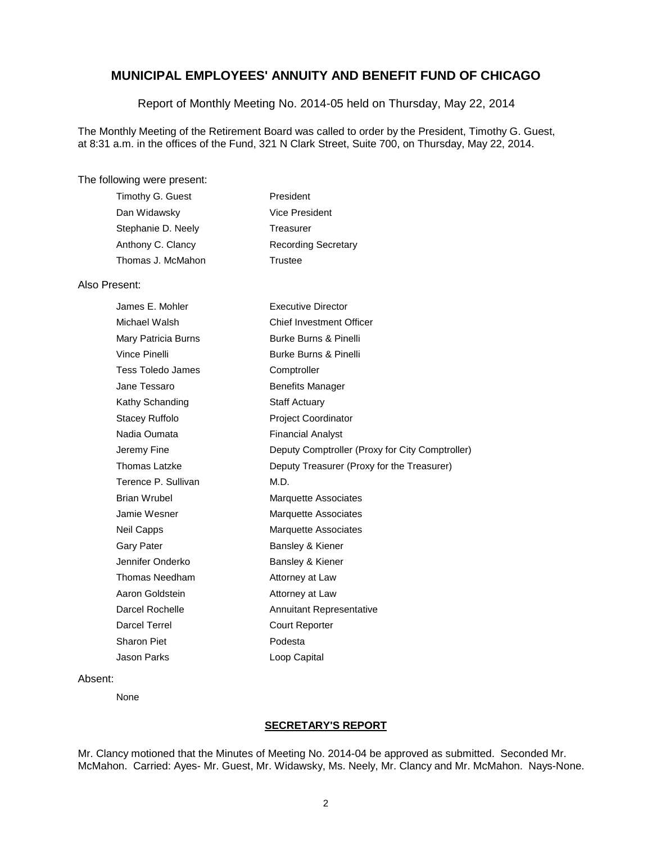Report of Monthly Meeting No. 2014-05 held on Thursday, May 22, 2014

The Monthly Meeting of the Retirement Board was called to order by the President, Timothy G. Guest, at 8:31 a.m. in the offices of the Fund, 321 N Clark Street, Suite 700, on Thursday, May 22, 2014.

#### The following were present:

| Timothy G. Guest   | President                  |
|--------------------|----------------------------|
| Dan Widawsky       | Vice President             |
| Stephanie D. Neely | Treasurer                  |
| Anthony C. Clancy  | <b>Recording Secretary</b> |
| Thomas J. McMahon  | Trustee                    |

#### Also Present:

| James E. Mohler     | <b>Executive Director</b>                       |
|---------------------|-------------------------------------------------|
| Michael Walsh       | <b>Chief Investment Officer</b>                 |
| Mary Patricia Burns | <b>Burke Burns &amp; Pinelli</b>                |
| Vince Pinelli       | Burke Burns & Pinelli                           |
| Tess Toledo James   | Comptroller                                     |
| Jane Tessaro        | <b>Benefits Manager</b>                         |
| Kathy Schanding     | <b>Staff Actuary</b>                            |
| Stacey Ruffolo      | Project Coordinator                             |
| Nadia Oumata        | <b>Financial Analyst</b>                        |
| Jeremy Fine         | Deputy Comptroller (Proxy for City Comptroller) |
| Thomas Latzke       | Deputy Treasurer (Proxy for the Treasurer)      |
| Terence P. Sullivan | M.D.                                            |
| <b>Brian Wrubel</b> | <b>Marquette Associates</b>                     |
| Jamie Wesner        | <b>Marquette Associates</b>                     |
| Neil Capps          | <b>Marquette Associates</b>                     |
| Gary Pater          | Bansley & Kiener                                |
| Jennifer Onderko    | Bansley & Kiener                                |
| Thomas Needham      | Attorney at Law                                 |
| Aaron Goldstein     | Attorney at Law                                 |
| Darcel Rochelle     | <b>Annuitant Representative</b>                 |
| Darcel Terrel       | <b>Court Reporter</b>                           |
| Sharon Piet         | Podesta                                         |
| Jason Parks         | Loop Capital                                    |

#### Absent:

None

### **SECRETARY'S REPORT**

Mr. Clancy motioned that the Minutes of Meeting No. 2014-04 be approved as submitted. Seconded Mr. McMahon. Carried: Ayes- Mr. Guest, Mr. Widawsky, Ms. Neely, Mr. Clancy and Mr. McMahon. Nays-None.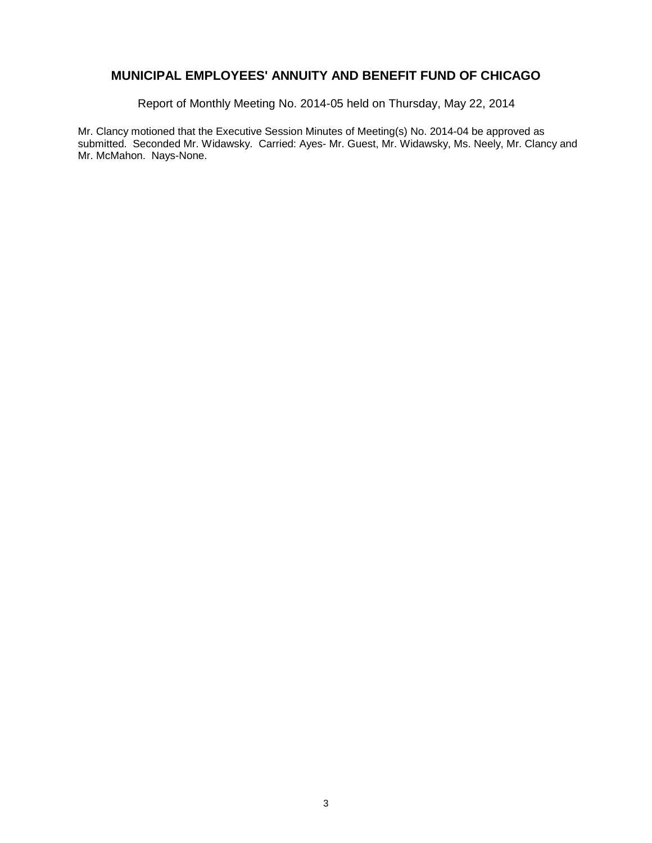Report of Monthly Meeting No. 2014-05 held on Thursday, May 22, 2014

Mr. Clancy motioned that the Executive Session Minutes of Meeting(s) No. 2014-04 be approved as submitted. Seconded Mr. Widawsky. Carried: Ayes- Mr. Guest, Mr. Widawsky, Ms. Neely, Mr. Clancy and Mr. McMahon. Nays-None.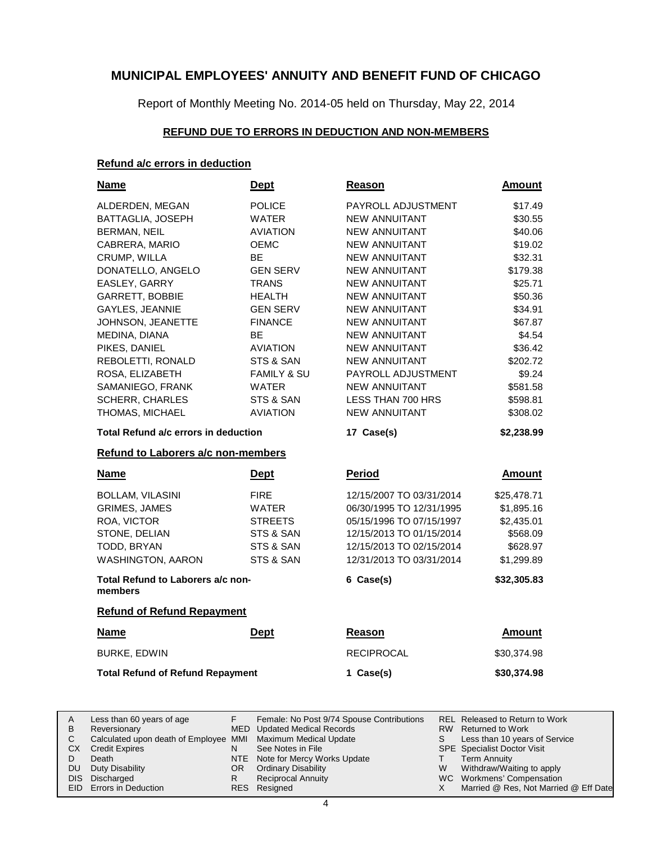Report of Monthly Meeting No. 2014-05 held on Thursday, May 22, 2014

### **REFUND DUE TO ERRORS IN DEDUCTION AND NON-MEMBERS**

### **Refund a/c errors in deduction**

| <b>Name</b>                                  | <b>Dept</b>                        | Reason                   | <b>Amount</b> |  |  |  |  |
|----------------------------------------------|------------------------------------|--------------------------|---------------|--|--|--|--|
| ALDERDEN, MEGAN                              | <b>POLICE</b>                      | PAYROLL ADJUSTMENT       | \$17.49       |  |  |  |  |
| BATTAGLIA, JOSEPH                            | <b>WATER</b>                       | NEW ANNUITANT            | \$30.55       |  |  |  |  |
| <b>BERMAN, NEIL</b>                          | <b>AVIATION</b>                    | <b>NEW ANNUITANT</b>     | \$40.06       |  |  |  |  |
| CABRERA, MARIO                               | <b>OEMC</b>                        | <b>NEW ANNUITANT</b>     | \$19.02       |  |  |  |  |
| CRUMP, WILLA                                 | BЕ                                 | <b>NEW ANNUITANT</b>     | \$32.31       |  |  |  |  |
| DONATELLO, ANGELO                            | <b>GEN SERV</b>                    | NEW ANNUITANT            | \$179.38      |  |  |  |  |
| EASLEY, GARRY                                | <b>TRANS</b>                       | <b>NEW ANNUITANT</b>     | \$25.71       |  |  |  |  |
| GARRETT, BOBBIE                              | HEALTH                             | NEW ANNUITANT            | \$50.36       |  |  |  |  |
| GAYLES, JEANNIE                              | <b>GEN SERV</b>                    | <b>NEW ANNUITANT</b>     | \$34.91       |  |  |  |  |
| JOHNSON, JEANETTE                            | <b>FINANCE</b>                     | <b>NEW ANNUITANT</b>     | \$67.87       |  |  |  |  |
| MEDINA, DIANA                                | <b>BE</b>                          | <b>NEW ANNUITANT</b>     | \$4.54        |  |  |  |  |
| PIKES, DANIEL                                | <b>AVIATION</b>                    | <b>NEW ANNUITANT</b>     | \$36.42       |  |  |  |  |
| REBOLETTI, RONALD                            | STS & SAN                          | <b>NEW ANNUITANT</b>     | \$202.72      |  |  |  |  |
| ROSA, ELIZABETH                              | <b>FAMILY &amp; SU</b>             | PAYROLL ADJUSTMENT       | \$9.24        |  |  |  |  |
| SAMANIEGO, FRANK                             | <b>WATER</b>                       | <b>NEW ANNUITANT</b>     | \$581.58      |  |  |  |  |
| <b>SCHERR, CHARLES</b>                       | STS & SAN                          | LESS THAN 700 HRS        | \$598.81      |  |  |  |  |
| THOMAS, MICHAEL                              | <b>AVIATION</b>                    | <b>NEW ANNUITANT</b>     | \$308.02      |  |  |  |  |
| Total Refund a/c errors in deduction         |                                    | 17 Case(s)               | \$2,238.99    |  |  |  |  |
|                                              | Refund to Laborers a/c non-members |                          |               |  |  |  |  |
|                                              |                                    |                          |               |  |  |  |  |
| <b>Name</b>                                  | <b>Dept</b>                        | <b>Period</b>            | <b>Amount</b> |  |  |  |  |
| <b>BOLLAM, VILASINI</b>                      | <b>FIRE</b>                        | 12/15/2007 TO 03/31/2014 | \$25,478.71   |  |  |  |  |
| <b>GRIMES, JAMES</b>                         | <b>WATER</b>                       | 06/30/1995 TO 12/31/1995 | \$1,895.16    |  |  |  |  |
| ROA, VICTOR                                  | <b>STREETS</b>                     | 05/15/1996 TO 07/15/1997 | \$2,435.01    |  |  |  |  |
| STONE, DELIAN                                | STS & SAN                          | 12/15/2013 TO 01/15/2014 | \$568.09      |  |  |  |  |
| TODD, BRYAN                                  | STS & SAN                          | 12/15/2013 TO 02/15/2014 | \$628.97      |  |  |  |  |
| <b>WASHINGTON, AARON</b>                     | STS & SAN                          | 12/31/2013 TO 03/31/2014 | \$1,299.89    |  |  |  |  |
| Total Refund to Laborers a/c non-<br>members |                                    | 6 Case(s)                | \$32,305.83   |  |  |  |  |
| <b>Refund of Refund Repayment</b>            |                                    |                          |               |  |  |  |  |
| <b>Name</b>                                  | <b>Dept</b>                        | Reason                   | <b>Amount</b> |  |  |  |  |
| <b>BURKE, EDWIN</b>                          |                                    | <b>RECIPROCAL</b>        | \$30,374.98   |  |  |  |  |
| <b>Total Refund of Refund Repayment</b>      |                                    | 1 Case(s)                | \$30,374.98   |  |  |  |  |

|           | Less than 60 years of age                                    |     | Female: No Post 9/74 Spouse Contributions |    | REL Released to Return to Work        |
|-----------|--------------------------------------------------------------|-----|-------------------------------------------|----|---------------------------------------|
| B         | Reversionary                                                 |     | MED Updated Medical Records               |    | RW Returned to Work                   |
|           | Calculated upon death of Employee MMI Maximum Medical Update |     |                                           | S. | Less than 10 years of Service         |
| CХ        | <b>Credit Expires</b>                                        |     | See Notes in File                         |    | <b>SPE</b> Specialist Doctor Visit    |
|           | Death                                                        |     | NTE Note for Mercy Works Update           |    | Term Annuity                          |
| <b>DU</b> | Duty Disability                                              | OR. | <b>Ordinary Disability</b>                | W  | Withdraw/Waiting to apply             |
|           | DIS Discharged                                               |     | <b>Reciprocal Annuity</b>                 |    | WC Workmens' Compensation             |
|           | EID Errors in Deduction                                      |     | RES Resigned                              |    | Married @ Res, Not Married @ Eff Date |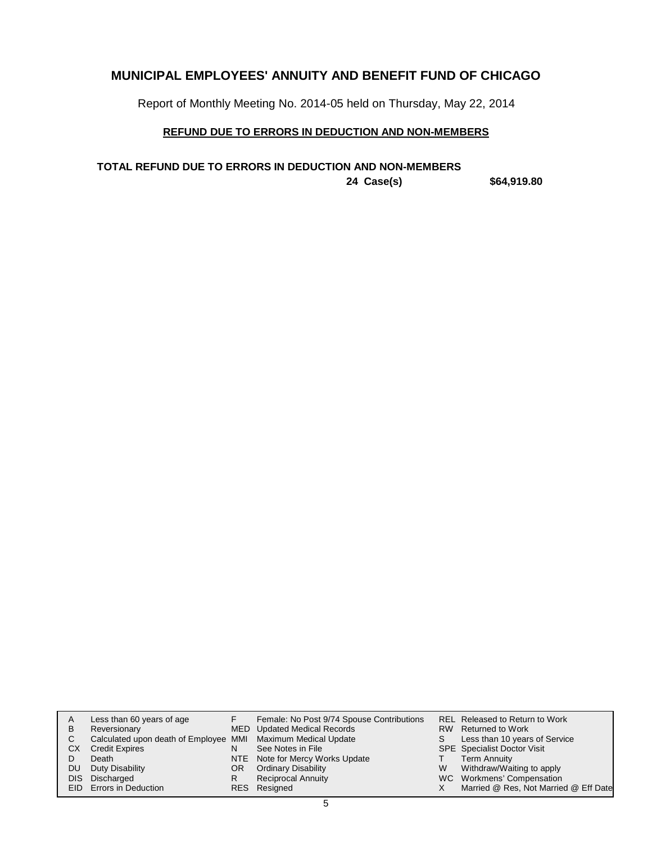Report of Monthly Meeting No. 2014-05 held on Thursday, May 22, 2014

### **REFUND DUE TO ERRORS IN DEDUCTION AND NON-MEMBERS**

**24 Case(s) \$64,919.80 TOTAL REFUND DUE TO ERRORS IN DEDUCTION AND NON-MEMBERS**

| A  | Less than 60 years of age                                    |    | Female: No Post 9/74 Spouse Contributions |    | <b>REL Released to Return to Work</b> |
|----|--------------------------------------------------------------|----|-------------------------------------------|----|---------------------------------------|
| в  | Reversionary                                                 |    | MED Updated Medical Records               |    | RW Returned to Work                   |
| C. | Calculated upon death of Employee MMI Maximum Medical Update |    |                                           | S. | Less than 10 years of Service         |
| СX | <b>Credit Expires</b>                                        | N  | See Notes in File                         |    | <b>SPE</b> Specialist Doctor Visit    |
|    | Death                                                        |    | NTE Note for Mercy Works Update           |    | Term Annuity                          |
| DU | Duty Disability                                              | OR | <b>Ordinary Disability</b>                | W  | Withdraw/Waiting to apply             |
|    | DIS Discharged                                               | R  | <b>Reciprocal Annuity</b>                 |    | WC Workmens' Compensation             |
|    | EID Errors in Deduction                                      |    | RES Resigned                              |    | Married @ Res, Not Married @ Eff Date |
|    |                                                              |    |                                           |    |                                       |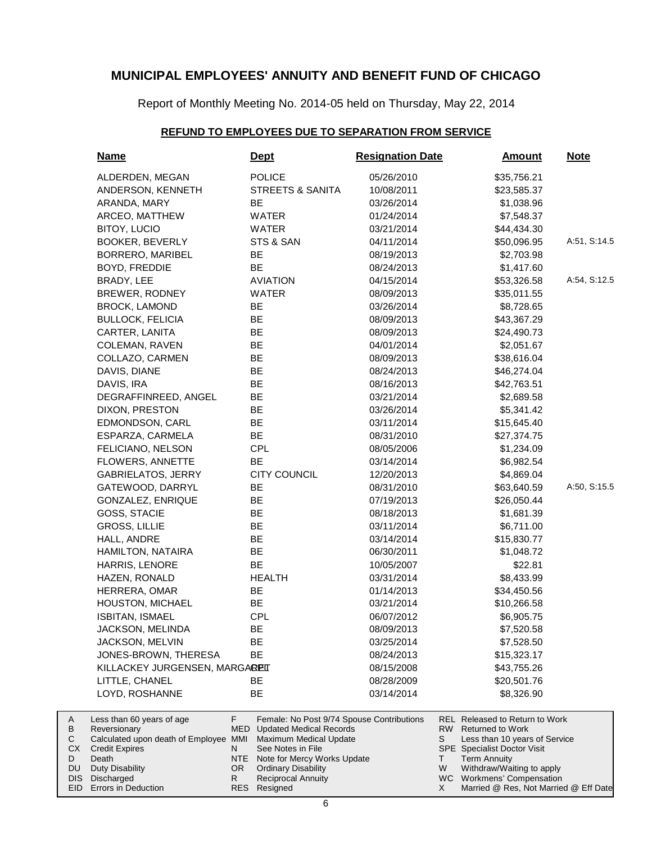Report of Monthly Meeting No. 2014-05 held on Thursday, May 22, 2014

### **REFUND TO EMPLOYEES DUE TO SEPARATION FROM SERVICE**

| Name                                      | <b>Dept</b>                                                                    | <b>Resignation Date</b> | <b>Amount</b>                                                            | <b>Note</b>  |
|-------------------------------------------|--------------------------------------------------------------------------------|-------------------------|--------------------------------------------------------------------------|--------------|
| ALDERDEN, MEGAN                           | <b>POLICE</b>                                                                  | 05/26/2010              | \$35,756.21                                                              |              |
| ANDERSON, KENNETH                         | <b>STREETS &amp; SANITA</b>                                                    | 10/08/2011              | \$23,585.37                                                              |              |
| ARANDA, MARY                              | BE                                                                             | 03/26/2014              | \$1,038.96                                                               |              |
| ARCEO, MATTHEW                            | WATER                                                                          | 01/24/2014              | \$7,548.37                                                               |              |
| BITOY, LUCIO                              | WATER                                                                          | 03/21/2014              | \$44,434.30                                                              |              |
| <b>BOOKER, BEVERLY</b>                    | STS & SAN                                                                      | 04/11/2014              | \$50,096.95                                                              | A:51, S:14.5 |
| <b>BORRERO, MARIBEL</b>                   | BE                                                                             | 08/19/2013              | \$2,703.98                                                               |              |
| BOYD, FREDDIE                             | <b>BE</b>                                                                      | 08/24/2013              | \$1,417.60                                                               |              |
| BRADY, LEE                                | <b>AVIATION</b>                                                                | 04/15/2014              | \$53,326.58                                                              | A:54, S:12.5 |
| BREWER, RODNEY                            | <b>WATER</b>                                                                   | 08/09/2013              | \$35,011.55                                                              |              |
| <b>BROCK, LAMOND</b>                      | BE                                                                             | 03/26/2014              | \$8,728.65                                                               |              |
| <b>BULLOCK, FELICIA</b>                   | BE                                                                             | 08/09/2013              | \$43,367.29                                                              |              |
| CARTER, LANITA                            | BE                                                                             | 08/09/2013              | \$24,490.73                                                              |              |
| COLEMAN, RAVEN                            | BE                                                                             | 04/01/2014              | \$2,051.67                                                               |              |
| COLLAZO, CARMEN                           | BE                                                                             | 08/09/2013              | \$38,616.04                                                              |              |
| DAVIS, DIANE                              | BE                                                                             | 08/24/2013              | \$46,274.04                                                              |              |
| DAVIS, IRA                                | BE                                                                             | 08/16/2013              | \$42,763.51                                                              |              |
| DEGRAFFINREED, ANGEL                      | BE                                                                             | 03/21/2014              | \$2,689.58                                                               |              |
| DIXON, PRESTON                            | <b>BE</b>                                                                      | 03/26/2014              | \$5,341.42                                                               |              |
| EDMONDSON, CARL                           | <b>BE</b>                                                                      | 03/11/2014              | \$15,645.40                                                              |              |
| ESPARZA, CARMELA                          | <b>BE</b>                                                                      | 08/31/2010              | \$27,374.75                                                              |              |
| FELICIANO, NELSON                         | <b>CPL</b>                                                                     | 08/05/2006              | \$1,234.09                                                               |              |
| <b>FLOWERS, ANNETTE</b>                   | BE                                                                             | 03/14/2014              | \$6,982.54                                                               |              |
| <b>GABRIELATOS, JERRY</b>                 | <b>CITY COUNCIL</b>                                                            | 12/20/2013              | \$4,869.04                                                               |              |
| GATEWOOD, DARRYL                          | BE                                                                             | 08/31/2010              | \$63,640.59                                                              | A:50, S:15.5 |
| GONZALEZ, ENRIQUE                         | BE                                                                             | 07/19/2013              | \$26,050.44                                                              |              |
| GOSS, STACIE                              | BE                                                                             | 08/18/2013              | \$1,681.39                                                               |              |
| <b>GROSS, LILLIE</b>                      | <b>BE</b>                                                                      | 03/11/2014              | \$6,711.00                                                               |              |
| HALL, ANDRE                               | BE                                                                             | 03/14/2014              | \$15,830.77                                                              |              |
| HAMILTON, NATAIRA                         | BE                                                                             | 06/30/2011              | \$1,048.72                                                               |              |
| HARRIS, LENORE                            | <b>BE</b>                                                                      | 10/05/2007              | \$22.81                                                                  |              |
| HAZEN, RONALD                             | <b>HEALTH</b>                                                                  | 03/31/2014              | \$8,433.99                                                               |              |
| HERRERA, OMAR                             | BE                                                                             | 01/14/2013              | \$34,450.56                                                              |              |
| HOUSTON, MICHAEL                          | BE                                                                             | 03/21/2014              | \$10,266.58                                                              |              |
| ISBITAN, ISMAEL                           | <b>CPL</b>                                                                     | 06/07/2012              | \$6,905.75                                                               |              |
| JACKSON, MELINDA                          | ᄟ                                                                              | 08/09/2013              | \$7,520.58                                                               |              |
| JACKSON, MELVIN                           | BЕ                                                                             | 03/25/2014              | \$7,528.50                                                               |              |
| JONES-BROWN, THERESA                      | BE                                                                             | 08/24/2013              | \$15,323.17                                                              |              |
| KILLACKEY JURGENSEN, MARGAREIT            |                                                                                | 08/15/2008              | \$43,755.26                                                              |              |
| LITTLE, CHANEL                            | BE                                                                             | 08/28/2009              | \$20,501.76                                                              |              |
| LOYD, ROSHANNE                            | BE                                                                             | 03/14/2014              | \$8,326.90                                                               |              |
| Less than 60 years of age<br>Reversionary | F.<br>Female: No Post 9/74 Spouse Contributions<br>MED Updated Medical Records |                         | <b>REL Released to Return to Work</b><br>RW  <br><b>Returned to Work</b> |              |
| Calculated upon death of Employee MMI     | Maximum Medical Update                                                         |                         | S<br>Less than 10 years of Service                                       |              |
| <b>Credit Expires</b><br>Death            | See Notes in File<br>N<br>NTE<br>Note for Mercy Works Update                   |                         | <b>SPE</b> Specialist Doctor Visit<br>T.<br><b>Term Annuity</b>          |              |
| <b>Duty Disability</b>                    | <b>Ordinary Disability</b><br>OR.                                              |                         | W<br>Withdraw/Waiting to apply                                           |              |
| Discharged                                | R<br><b>Reciprocal Annuity</b>                                                 |                         | WC Workmens' Compensation                                                |              |

Resigned

RES

Married @ Res, Not Married @ Eff Date

X

EID Errors in Deduction

A B C CX D DU DIS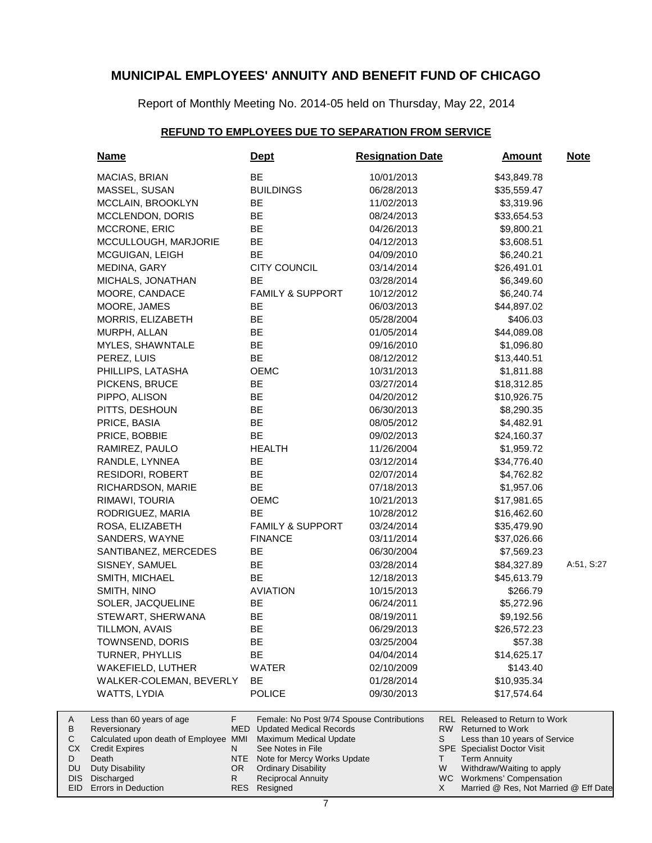Report of Monthly Meeting No. 2014-05 held on Thursday, May 22, 2014

### **REFUND TO EMPLOYEES DUE TO SEPARATION FROM SERVICE**

| <b>Name</b>                                           | <u>Dept</u>                                                     | <b>Resignation Date</b> |          | <b>Amount</b>                                             | <b>Note</b> |
|-------------------------------------------------------|-----------------------------------------------------------------|-------------------------|----------|-----------------------------------------------------------|-------------|
| MACIAS, BRIAN                                         | BE                                                              | 10/01/2013              |          | \$43,849.78                                               |             |
| MASSEL, SUSAN                                         | <b>BUILDINGS</b>                                                | 06/28/2013              |          | \$35,559.47                                               |             |
| MCCLAIN, BROOKLYN                                     | BE                                                              | 11/02/2013              |          | \$3,319.96                                                |             |
| MCCLENDON, DORIS                                      | BE                                                              | 08/24/2013              |          | \$33,654.53                                               |             |
| MCCRONE, ERIC                                         | BE                                                              | 04/26/2013              |          | \$9,800.21                                                |             |
| MCCULLOUGH, MARJORIE                                  | ВE                                                              | 04/12/2013              |          | \$3,608.51                                                |             |
| MCGUIGAN, LEIGH                                       | BE                                                              | 04/09/2010              |          | \$6,240.21                                                |             |
| MEDINA, GARY                                          | <b>CITY COUNCIL</b>                                             | 03/14/2014              |          | \$26,491.01                                               |             |
| MICHALS, JONATHAN                                     | BE                                                              | 03/28/2014              |          | \$6,349.60                                                |             |
| MOORE, CANDACE                                        | <b>FAMILY &amp; SUPPORT</b>                                     | 10/12/2012              |          | \$6,240.74                                                |             |
| MOORE, JAMES                                          | BE                                                              | 06/03/2013              |          | \$44,897.02                                               |             |
| MORRIS, ELIZABETH                                     | BE                                                              | 05/28/2004              |          | \$406.03                                                  |             |
| MURPH, ALLAN                                          | BE                                                              | 01/05/2014              |          | \$44,089.08                                               |             |
| MYLES, SHAWNTALE                                      | ВE                                                              | 09/16/2010              |          | \$1,096.80                                                |             |
| PEREZ, LUIS                                           | <b>BE</b>                                                       | 08/12/2012              |          | \$13,440.51                                               |             |
| PHILLIPS, LATASHA                                     | OEMC                                                            | 10/31/2013              |          | \$1,811.88                                                |             |
| PICKENS, BRUCE                                        | BE                                                              | 03/27/2014              |          | \$18,312.85                                               |             |
| PIPPO, ALISON                                         | ВE                                                              | 04/20/2012              |          | \$10,926.75                                               |             |
| PITTS, DESHOUN                                        | BE                                                              | 06/30/2013              |          | \$8,290.35                                                |             |
| PRICE, BASIA                                          | ВE                                                              | 08/05/2012              |          | \$4,482.91                                                |             |
| PRICE, BOBBIE                                         | BE                                                              | 09/02/2013              |          | \$24,160.37                                               |             |
| RAMIREZ, PAULO                                        | <b>HEALTH</b>                                                   | 11/26/2004              |          | \$1,959.72                                                |             |
| RANDLE, LYNNEA                                        | BE                                                              | 03/12/2014              |          | \$34,776.40                                               |             |
| <b>RESIDORI, ROBERT</b>                               | ВE                                                              | 02/07/2014              |          | \$4,762.82                                                |             |
| RICHARDSON, MARIE                                     | BE                                                              | 07/18/2013              |          | \$1,957.06                                                |             |
| RIMAWI, TOURIA                                        | OEMC                                                            | 10/21/2013              |          | \$17,981.65                                               |             |
| RODRIGUEZ, MARIA                                      | <b>BE</b>                                                       | 10/28/2012              |          | \$16,462.60                                               |             |
| ROSA, ELIZABETH                                       | <b>FAMILY &amp; SUPPORT</b>                                     | 03/24/2014              |          | \$35,479.90                                               |             |
| SANDERS, WAYNE                                        | <b>FINANCE</b>                                                  | 03/11/2014              |          | \$37,026.66                                               |             |
| SANTIBANEZ, MERCEDES                                  | ВE                                                              | 06/30/2004              |          | \$7,569.23                                                |             |
| SISNEY, SAMUEL                                        | BE                                                              | 03/28/2014              |          | \$84,327.89                                               | A:51, S:27  |
| SMITH, MICHAEL                                        | BE                                                              | 12/18/2013              |          | \$45,613.79                                               |             |
| SMITH, NINO                                           | <b>AVIATION</b>                                                 | 10/15/2013              |          | \$266.79                                                  |             |
| SOLER, JACQUELINE                                     | BE                                                              | 06/24/2011              |          | \$5,272.96                                                |             |
| STEWART, SHERWANA                                     | BE                                                              | 08/19/2011              |          | \$9,192.56                                                |             |
| TILLMON, AVAIS                                        | ᄨ                                                               | 06/29/2013              |          | \$26,572.23                                               |             |
| TOWNSEND, DORIS                                       | ВE                                                              | 03/25/2004              |          | \$57.38                                                   |             |
| TURNER, PHYLLIS                                       | <b>BE</b>                                                       | 04/04/2014              |          | \$14,625.17                                               |             |
| WAKEFIELD, LUTHER                                     | WATER                                                           | 02/10/2009              |          | \$143.40                                                  |             |
| WALKER-COLEMAN, BEVERLY                               | BЕ                                                              | 01/28/2014              |          | \$10,935.34                                               |             |
| <b>WATTS, LYDIA</b>                                   | <b>POLICE</b>                                                   | 09/30/2013              |          | \$17,574.64                                               |             |
| Less than 60 years of age                             | F.<br>Female: No Post 9/74 Spouse Contributions                 |                         |          | REL Released to Return to Work<br><b>Returned to Work</b> |             |
| Reversionary<br>Calculated upon death of Employee MMI | MED<br><b>Updated Medical Records</b><br>Maximum Medical Update |                         | RW.<br>S | Less than 10 years of Service                             |             |
| <b>Credit Expires</b>                                 | See Notes in File<br>N                                          |                         |          | <b>SPE</b> Specialist Doctor Visit                        |             |
| Death                                                 | Note for Mercy Works Update<br>NTE                              |                         | T.       | <b>Term Annuity</b>                                       |             |
| <b>Duty Disability</b>                                | OR.<br><b>Ordinary Disability</b>                               |                         | W        | Withdraw/Waiting to apply                                 |             |

Reciprocal Annuity

Discharged DIS

A B  $\mathbf C$ CX D DU

Workmens' Compensation

WC X

Married @ Res, Not Married @ Eff Date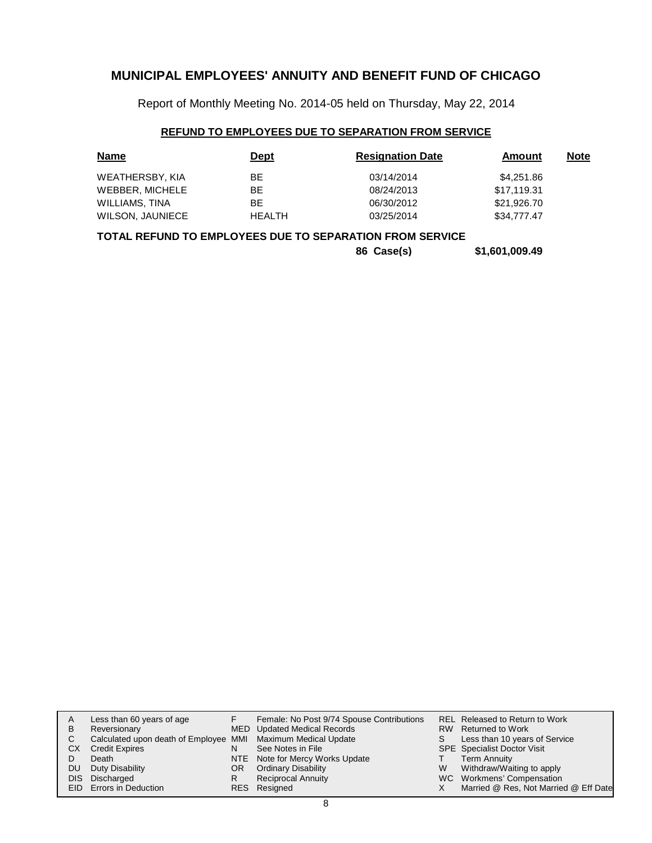Report of Monthly Meeting No. 2014-05 held on Thursday, May 22, 2014

### **REFUND TO EMPLOYEES DUE TO SEPARATION FROM SERVICE**

| <b>Name</b>             | <b>Dept</b>   | <b>Resignation Date</b> | Amount      | <u>Note</u> |
|-------------------------|---------------|-------------------------|-------------|-------------|
| WEATHERSBY, KIA         | ВE            | 03/14/2014              | \$4,251.86  |             |
| WEBBER, MICHELE         | BE            | 08/24/2013              | \$17,119.31 |             |
| WILLIAMS, TINA          | ВE            | 06/30/2012              | \$21,926.70 |             |
| <b>WILSON, JAUNIECE</b> | <b>HEALTH</b> | 03/25/2014              | \$34,777,47 |             |

### **TOTAL REFUND TO EMPLOYEES DUE TO SEPARATION FROM SERVICE**

**86 Case(s) \$1,601,009.49**

|      | Less than 60 years of age                                    |    | Female: No Post 9/74 Spouse Contributions |   | REL Released to Return to Work        |
|------|--------------------------------------------------------------|----|-------------------------------------------|---|---------------------------------------|
| в    | Reversionary                                                 |    | MED Updated Medical Records               |   | RW Returned to Work                   |
| С    | Calculated upon death of Employee MMI Maximum Medical Update |    |                                           | S | Less than 10 years of Service         |
| СX   | <b>Credit Expires</b>                                        | N  | See Notes in File                         |   | <b>SPE</b> Specialist Doctor Visit    |
|      | Death                                                        |    | NTE Note for Mercy Works Update           |   | <b>Term Annuity</b>                   |
| DU   | Duty Disability                                              | OR | <b>Ordinary Disability</b>                | W | Withdraw/Waiting to apply             |
| DIS. | Discharged                                                   | R  | <b>Reciprocal Annuity</b>                 |   | WC Workmens' Compensation             |
|      | <b>EID</b> Errors in Deduction                               |    | RES Resigned                              |   | Married @ Res, Not Married @ Eff Date |
|      |                                                              |    |                                           |   |                                       |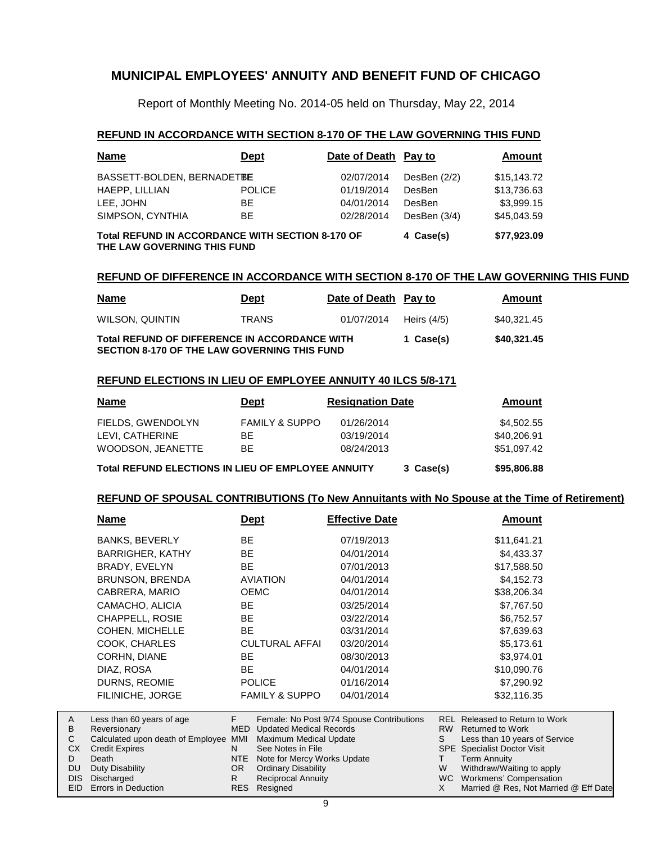Report of Monthly Meeting No. 2014-05 held on Thursday, May 22, 2014

### **REFUND IN ACCORDANCE WITH SECTION 8-170 OF THE LAW GOVERNING THIS FUND**

| <b>Name</b>                                                                            | <b>Dept</b>   | Date of Death Pay to |              | Amount      |
|----------------------------------------------------------------------------------------|---------------|----------------------|--------------|-------------|
| BASSETT-BOLDEN, BERNADETBE                                                             |               | 02/07/2014           | DesBen (2/2) | \$15,143.72 |
| HAEPP, LILLIAN                                                                         | <b>POLICE</b> | 01/19/2014           | DesBen       | \$13,736.63 |
| LEE. JOHN                                                                              | <b>BE</b>     | 04/01/2014           | DesBen       | \$3.999.15  |
| SIMPSON, CYNTHIA                                                                       | BE.           | 02/28/2014           | DesBen (3/4) | \$45.043.59 |
| <b>Total REFUND IN ACCORDANCE WITH SECTION 8-170 OF</b><br>THE LAW GOVERNING THIS FUND | 4 Case(s)     | \$77,923.09          |              |             |

### **REFUND OF DIFFERENCE IN ACCORDANCE WITH SECTION 8-170 OF THE LAW GOVERNING THIS FUND**

| <u>Name</u>                                                                                          | <u>Dept</u>  | Date of Death Pay to |               | Amount      |
|------------------------------------------------------------------------------------------------------|--------------|----------------------|---------------|-------------|
| WILSON, QUINTIN                                                                                      | <b>TRANS</b> | 01/07/2014           | Heirs $(4/5)$ | \$40.321.45 |
| Total REFUND OF DIFFERENCE IN ACCORDANCE WITH<br><b>SECTION 8-170 OF THE LAW GOVERNING THIS FUND</b> |              |                      | 1 Case(s)     | \$40,321.45 |

### **REFUND ELECTIONS IN LIEU OF EMPLOYEE ANNUITY 40 ILCS 5/8-171**

A

| <b>Name</b>                                        | <b>Dept</b>               | <b>Resignation Date</b> |           | Amount      |
|----------------------------------------------------|---------------------------|-------------------------|-----------|-------------|
| FIELDS, GWENDOLYN                                  | <b>FAMILY &amp; SUPPO</b> | 01/26/2014              |           | \$4,502.55  |
| LEVI. CATHERINE                                    | BE.                       | 03/19/2014              |           | \$40,206.91 |
| WOODSON, JEANETTE                                  | BF.                       | 08/24/2013              |           | \$51,097.42 |
| Total REFUND ELECTIONS IN LIEU OF EMPLOYEE ANNUITY |                           |                         | 3 Case(s) | \$95,806.88 |

### **REFUND OF SPOUSAL CONTRIBUTIONS (To New Annuitants with No Spouse at the Time of Retirement)**

| <b>Name</b>                                                                                                 | <b>Dept</b>                                 | <b>Effective Date</b>                     | Amount                                                                                                       |
|-------------------------------------------------------------------------------------------------------------|---------------------------------------------|-------------------------------------------|--------------------------------------------------------------------------------------------------------------|
| <b>BANKS, BEVERLY</b>                                                                                       | BE.                                         | 07/19/2013                                | \$11,641.21                                                                                                  |
| <b>BARRIGHER, KATHY</b>                                                                                     | <b>BE</b>                                   | 04/01/2014                                | \$4,433.37                                                                                                   |
| BRADY, EVELYN                                                                                               | <b>BE</b>                                   | 07/01/2013                                | \$17,588.50                                                                                                  |
| <b>BRUNSON, BRENDA</b>                                                                                      | <b>AVIATION</b>                             | 04/01/2014                                | \$4,152.73                                                                                                   |
| CABRERA, MARIO                                                                                              | <b>OEMC</b>                                 | 04/01/2014                                | \$38,206.34                                                                                                  |
| CAMACHO, ALICIA                                                                                             | BE.                                         | 03/25/2014                                | \$7,767.50                                                                                                   |
| CHAPPELL, ROSIE                                                                                             | BE.                                         | 03/22/2014                                | \$6,752.57                                                                                                   |
| COHEN, MICHELLE                                                                                             | BE.                                         | 03/31/2014                                | \$7,639.63                                                                                                   |
| COOK, CHARLES                                                                                               | <b>CULTURAL AFFAI</b>                       | 03/20/2014                                | \$5,173.61                                                                                                   |
| <b>CORHN, DIANE</b>                                                                                         | BE.                                         | 08/30/2013                                | \$3,974.01                                                                                                   |
| DIAZ, ROSA                                                                                                  | BE.                                         | 04/01/2014                                | \$10,090.76                                                                                                  |
| DURNS, REOMIE                                                                                               | <b>POLICE</b>                               | 01/16/2014                                | \$7,290.92                                                                                                   |
| <b>FILINICHE, JORGE</b>                                                                                     | <b>FAMILY &amp; SUPPO</b>                   | 04/01/2014                                | \$32,116.35                                                                                                  |
| Less than 60 years of age<br>Reversionary<br>Coloulated unes death of Employee, MMI Marineum Medical Undate | F.<br><b>Updated Medical Records</b><br>MED | Female: No Post 9/74 Spouse Contributions | <b>REL</b><br>Released to Return to Work<br>RW<br><b>Returned to Work</b><br>$l$ ass than 10 years of Cangas |

| B  | Reversionary                                                 |     | MED Updated Medical Records     |   | RW Returned to Work                   |
|----|--------------------------------------------------------------|-----|---------------------------------|---|---------------------------------------|
| C. | Calculated upon death of Employee MMI Maximum Medical Update |     |                                 |   | Less than 10 years of Service         |
|    | <b>CX</b> Credit Expires                                     |     | See Notes in File               |   | <b>SPE</b> Specialist Doctor Visit    |
| D  | Death                                                        |     | NTE Note for Mercy Works Update |   | Term Annuity                          |
|    | DU Duty Disability                                           | OR. | <b>Ordinary Disability</b>      | W | Withdraw/Waiting to apply             |
|    | DIS Discharged                                               |     | <b>Reciprocal Annuity</b>       |   | WC Workmens' Compensation             |
|    | EID Errors in Deduction                                      |     | RES Resigned                    |   | Married @ Res, Not Married @ Eff Date |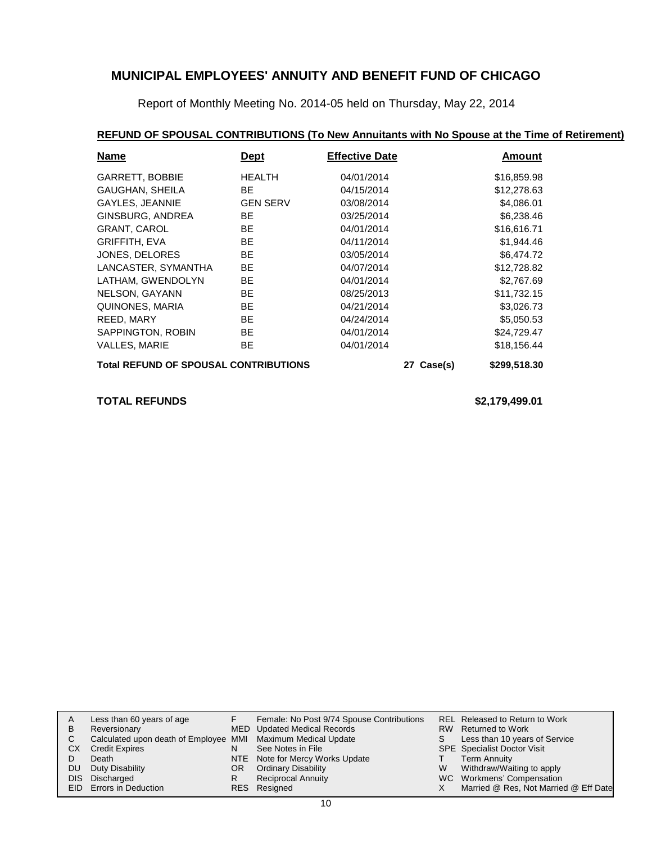Report of Monthly Meeting No. 2014-05 held on Thursday, May 22, 2014

### **REFUND OF SPOUSAL CONTRIBUTIONS (To New Annuitants with No Spouse at the Time of Retirement)**

| <b>Name</b>                                  | Dept            | <b>Effective Date</b> |              | Amount      |
|----------------------------------------------|-----------------|-----------------------|--------------|-------------|
| <b>GARRETT, BOBBIE</b>                       | <b>HEALTH</b>   | 04/01/2014            |              | \$16,859.98 |
| GAUGHAN, SHEILA                              | <b>BE</b>       | 04/15/2014            |              | \$12,278.63 |
| GAYLES, JEANNIE                              | <b>GEN SERV</b> | 03/08/2014            |              | \$4,086.01  |
| GINSBURG, ANDREA                             | BE.             | 03/25/2014            |              | \$6,238.46  |
| <b>GRANT, CAROL</b>                          | BE.             | 04/01/2014            |              | \$16,616.71 |
| <b>GRIFFITH, EVA</b>                         | BE.             | 04/11/2014            |              | \$1,944.46  |
| JONES, DELORES                               | <b>BE</b>       | 03/05/2014            |              | \$6,474.72  |
| LANCASTER, SYMANTHA                          | BE.             | 04/07/2014            |              | \$12,728.82 |
| LATHAM, GWENDOLYN                            | BE.             | 04/01/2014            |              | \$2,767.69  |
| NELSON, GAYANN                               | BE.             | 08/25/2013            |              | \$11,732.15 |
| QUINONES, MARIA                              | BE.             | 04/21/2014            |              | \$3,026.73  |
| REED, MARY                                   | <b>BE</b>       | 04/24/2014            |              | \$5,050.53  |
| SAPPINGTON, ROBIN                            | <b>BE</b>       | 04/01/2014            |              | \$24,729.47 |
| <b>VALLES, MARIE</b>                         | <b>BE</b>       | 04/01/2014            |              | \$18,156.44 |
| <b>Total REFUND OF SPOUSAL CONTRIBUTIONS</b> |                 | 27 Case(s)            | \$299,518.30 |             |

**TOTAL REFUNDS \$2,179,499.01**

| A   | Less than 60 years of age                                    |     | Female: No Post 9/74 Spouse Contributions |    | REL Released to Return to Work        |
|-----|--------------------------------------------------------------|-----|-------------------------------------------|----|---------------------------------------|
| B   | Reversionary                                                 |     | MED Updated Medical Records               |    | RW Returned to Work                   |
|     | Calculated upon death of Employee MMI Maximum Medical Update |     |                                           | S. | Less than 10 years of Service         |
| СX  | <b>Credit Expires</b>                                        | N   | See Notes in File                         |    | <b>SPE</b> Specialist Doctor Visit    |
|     | Death                                                        |     | NTE Note for Mercy Works Update           |    | Term Annuity                          |
| DU. | Duty Disability                                              | OR. | <b>Ordinary Disability</b>                | W  | Withdraw/Waiting to apply             |
|     | DIS Discharged                                               | R   | <b>Reciprocal Annuity</b>                 |    | WC Workmens' Compensation             |
|     | EID Errors in Deduction                                      |     | RES Resigned                              |    | Married @ Res, Not Married @ Eff Date |
|     |                                                              |     |                                           |    |                                       |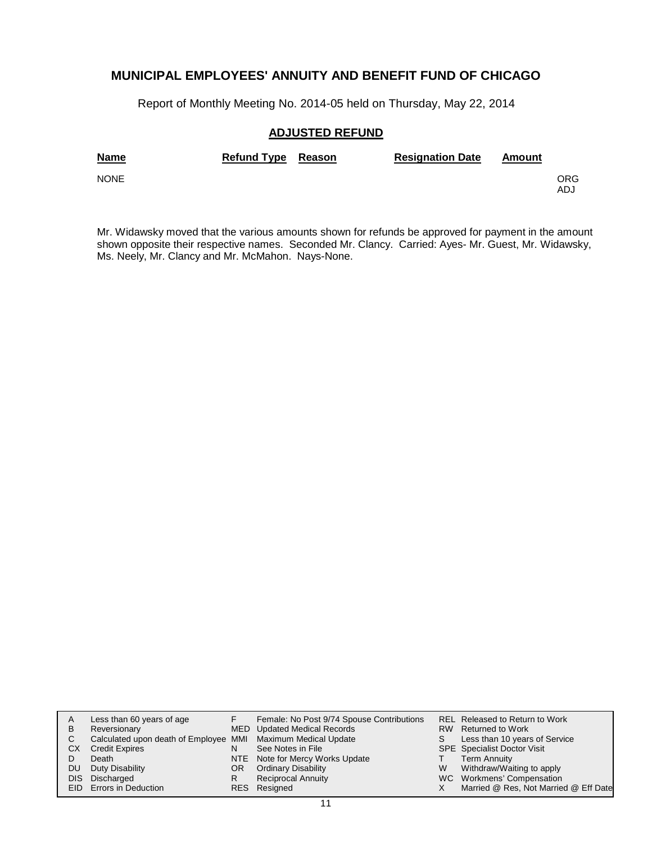Report of Monthly Meeting No. 2014-05 held on Thursday, May 22, 2014

### **ADJUSTED REFUND**

| <b>Name</b> | Refund Type Reason | <b>Resignation Date</b> | Amount |            |
|-------------|--------------------|-------------------------|--------|------------|
| <b>NONE</b> |                    |                         |        | ORG<br>ADJ |

Mr. Widawsky moved that the various amounts shown for refunds be approved for payment in the amount shown opposite their respective names. Seconded Mr. Clancy. Carried: Ayes- Mr. Guest, Mr. Widawsky, Ms. Neely, Mr. Clancy and Mr. McMahon. Nays-None.

| A    | Less than 60 years of age                                    |    | Female: No Post 9/74 Spouse Contributions |   | REL Released to Return to Work        |
|------|--------------------------------------------------------------|----|-------------------------------------------|---|---------------------------------------|
| в    | Reversionary                                                 |    | MED Updated Medical Records               |   | RW Returned to Work                   |
| С    | Calculated upon death of Employee MMI Maximum Medical Update |    |                                           | S | Less than 10 years of Service         |
| СX   | <b>Credit Expires</b>                                        | N  | See Notes in File                         |   | <b>SPE</b> Specialist Doctor Visit    |
|      | Death                                                        |    | NTE Note for Mercy Works Update           |   | <b>Term Annuity</b>                   |
| DU   | Duty Disability                                              | OR | <b>Ordinary Disability</b>                | W | Withdraw/Waiting to apply             |
| DIS. | Discharged                                                   | R  | <b>Reciprocal Annuity</b>                 |   | WC Workmens' Compensation             |
|      | <b>EID</b> Errors in Deduction                               |    | RES Resigned                              |   | Married @ Res, Not Married @ Eff Date |
|      |                                                              |    |                                           |   |                                       |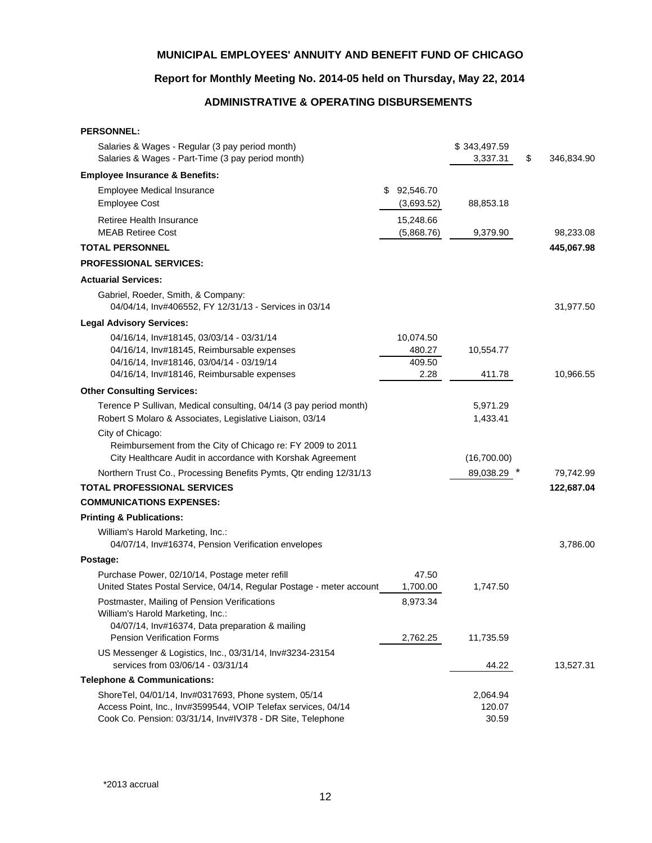# **Report for Monthly Meeting No. 2014-05 held on Thursday, May 22, 2014**

# **ADMINISTRATIVE & OPERATING DISBURSEMENTS**

| <b>PERSONNEL:</b>                                                                                                                                                                   |                                       |                             |                  |
|-------------------------------------------------------------------------------------------------------------------------------------------------------------------------------------|---------------------------------------|-----------------------------|------------------|
| Salaries & Wages - Regular (3 pay period month)<br>Salaries & Wages - Part-Time (3 pay period month)                                                                                |                                       | \$343,497.59<br>3,337.31    | \$<br>346,834.90 |
| <b>Employee Insurance &amp; Benefits:</b>                                                                                                                                           |                                       |                             |                  |
| <b>Employee Medical Insurance</b><br><b>Employee Cost</b>                                                                                                                           | 92,546.70<br>\$<br>(3,693.52)         | 88,853.18                   |                  |
| Retiree Health Insurance<br><b>MEAB Retiree Cost</b>                                                                                                                                | 15,248.66<br>(5,868.76)               | 9,379.90                    | 98,233.08        |
| <b>TOTAL PERSONNEL</b>                                                                                                                                                              |                                       |                             | 445,067.98       |
| <b>PROFESSIONAL SERVICES:</b>                                                                                                                                                       |                                       |                             |                  |
| <b>Actuarial Services:</b>                                                                                                                                                          |                                       |                             |                  |
| Gabriel, Roeder, Smith, & Company:<br>04/04/14, Inv#406552, FY 12/31/13 - Services in 03/14                                                                                         |                                       |                             | 31,977.50        |
| <b>Legal Advisory Services:</b>                                                                                                                                                     |                                       |                             |                  |
| 04/16/14, Inv#18145, 03/03/14 - 03/31/14<br>04/16/14, Inv#18145, Reimbursable expenses<br>04/16/14, Inv#18146, 03/04/14 - 03/19/14                                                  | 10,074.50<br>480.27<br>409.50<br>2.28 | 10,554.77                   |                  |
| 04/16/14, Inv#18146, Reimbursable expenses                                                                                                                                          |                                       | 411.78                      | 10,966.55        |
| <b>Other Consulting Services:</b>                                                                                                                                                   |                                       |                             |                  |
| Terence P Sullivan, Medical consulting, 04/14 (3 pay period month)<br>Robert S Molaro & Associates, Legislative Liaison, 03/14                                                      |                                       | 5,971.29<br>1,433.41        |                  |
| City of Chicago:<br>Reimbursement from the City of Chicago re: FY 2009 to 2011<br>City Healthcare Audit in accordance with Korshak Agreement                                        |                                       | (16,700.00)                 |                  |
| Northern Trust Co., Processing Benefits Pymts, Qtr ending 12/31/13                                                                                                                  |                                       | 89,038.29                   | 79,742.99        |
| <b>TOTAL PROFESSIONAL SERVICES</b>                                                                                                                                                  |                                       |                             | 122,687.04       |
| <b>COMMUNICATIONS EXPENSES:</b>                                                                                                                                                     |                                       |                             |                  |
| <b>Printing &amp; Publications:</b>                                                                                                                                                 |                                       |                             |                  |
| William's Harold Marketing, Inc.:<br>04/07/14, Inv#16374, Pension Verification envelopes                                                                                            |                                       |                             | 3,786.00         |
| Postage:                                                                                                                                                                            |                                       |                             |                  |
| Purchase Power, 02/10/14, Postage meter refill<br>United States Postal Service, 04/14, Regular Postage - meter account                                                              | 47.50<br>1,700.00                     | 1,747.50                    |                  |
| Postmaster, Mailing of Pension Verifications<br>William's Harold Marketing, Inc.:<br>04/07/14, Inv#16374, Data preparation & mailing<br><b>Pension Verification Forms</b>           | 8,973.34<br>2,762.25                  | 11,735.59                   |                  |
| US Messenger & Logistics, Inc., 03/31/14, Inv#3234-23154<br>services from 03/06/14 - 03/31/14                                                                                       |                                       | 44.22                       | 13,527.31        |
| <b>Telephone &amp; Communications:</b>                                                                                                                                              |                                       |                             |                  |
| ShoreTel, 04/01/14, Inv#0317693, Phone system, 05/14<br>Access Point, Inc., Inv#3599544, VOIP Telefax services, 04/14<br>Cook Co. Pension: 03/31/14, Inv#IV378 - DR Site, Telephone |                                       | 2,064.94<br>120.07<br>30.59 |                  |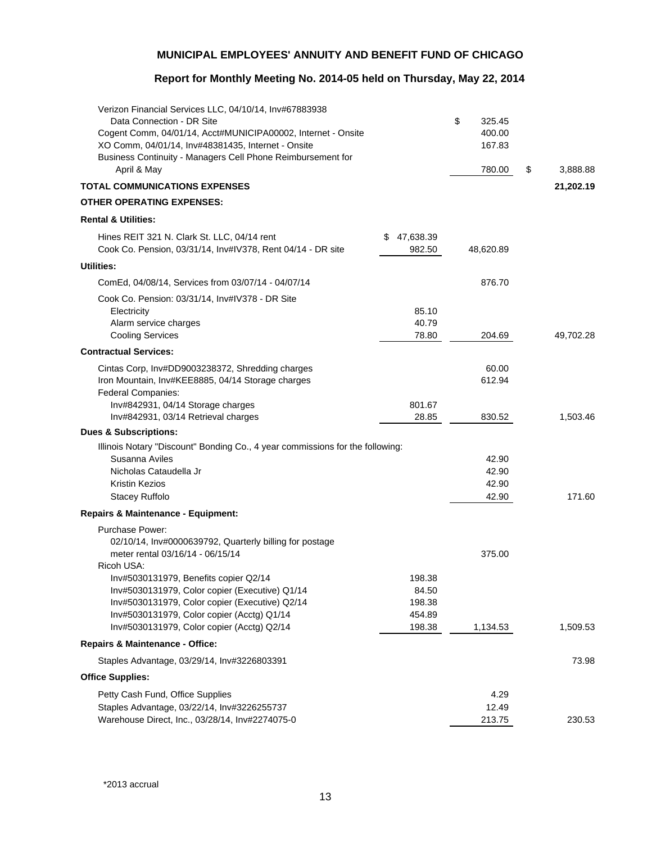# **Report for Monthly Meeting No. 2014-05 held on Thursday, May 22, 2014**

| Verizon Financial Services LLC, 04/10/14, Inv#67883938<br>Data Connection - DR Site<br>Cogent Comm, 04/01/14, Acct#MUNICIPA00002, Internet - Onsite<br>XO Comm, 04/01/14, Inv#48381435, Internet - Onsite<br>Business Continuity - Managers Cell Phone Reimbursement for<br>April & May |                          | \$<br>325.45<br>400.00<br>167.83<br>780.00 | \$<br>3,888.88 |
|-----------------------------------------------------------------------------------------------------------------------------------------------------------------------------------------------------------------------------------------------------------------------------------------|--------------------------|--------------------------------------------|----------------|
| <b>TOTAL COMMUNICATIONS EXPENSES</b>                                                                                                                                                                                                                                                    |                          |                                            | 21,202.19      |
| <b>OTHER OPERATING EXPENSES:</b>                                                                                                                                                                                                                                                        |                          |                                            |                |
| <b>Rental &amp; Utilities:</b>                                                                                                                                                                                                                                                          |                          |                                            |                |
| Hines REIT 321 N. Clark St. LLC, 04/14 rent<br>Cook Co. Pension, 03/31/14, Inv#IV378, Rent 04/14 - DR site                                                                                                                                                                              | 47,638.39<br>S<br>982.50 | 48,620.89                                  |                |
| <b>Utilities:</b>                                                                                                                                                                                                                                                                       |                          |                                            |                |
| ComEd, 04/08/14, Services from 03/07/14 - 04/07/14                                                                                                                                                                                                                                      |                          | 876.70                                     |                |
| Cook Co. Pension: 03/31/14, Inv#IV378 - DR Site<br>Electricity<br>Alarm service charges<br><b>Cooling Services</b>                                                                                                                                                                      | 85.10<br>40.79<br>78.80  | 204.69                                     | 49.702.28      |
| <b>Contractual Services:</b>                                                                                                                                                                                                                                                            |                          |                                            |                |
| Cintas Corp, Inv#DD9003238372, Shredding charges<br>Iron Mountain, Inv#KEE8885, 04/14 Storage charges<br>Federal Companies:<br>Inv#842931, 04/14 Storage charges                                                                                                                        | 801.67                   | 60.00<br>612.94                            |                |
| Inv#842931, 03/14 Retrieval charges                                                                                                                                                                                                                                                     | 28.85                    | 830.52                                     | 1,503.46       |
| <b>Dues &amp; Subscriptions:</b>                                                                                                                                                                                                                                                        |                          |                                            |                |
| Illinois Notary "Discount" Bonding Co., 4 year commissions for the following:                                                                                                                                                                                                           |                          |                                            |                |
| Susanna Aviles<br>Nicholas Cataudella Jr                                                                                                                                                                                                                                                |                          | 42.90<br>42.90                             |                |
| Kristin Kezios                                                                                                                                                                                                                                                                          |                          | 42.90                                      |                |
| <b>Stacey Ruffolo</b>                                                                                                                                                                                                                                                                   |                          | 42.90                                      | 171.60         |
| <b>Repairs &amp; Maintenance - Equipment:</b>                                                                                                                                                                                                                                           |                          |                                            |                |
| Purchase Power:                                                                                                                                                                                                                                                                         |                          |                                            |                |
| 02/10/14, Inv#0000639792, Quarterly billing for postage<br>meter rental 03/16/14 - 06/15/14<br>Ricoh USA:                                                                                                                                                                               |                          | 375.00                                     |                |
| Inv#5030131979, Benefits copier Q2/14                                                                                                                                                                                                                                                   | 198.38                   |                                            |                |
| Inv#5030131979, Color copier (Executive) Q1/14                                                                                                                                                                                                                                          | 84.50                    |                                            |                |
| Inv#5030131979, Color copier (Executive) Q2/14<br>Inv#5030131979, Color copier (Acctg) Q1/14                                                                                                                                                                                            | 198.38<br>454.89         |                                            |                |
| Inv#5030131979, Color copier (Acctg) Q2/14                                                                                                                                                                                                                                              | 198.38                   | 1,134.53                                   | 1,509.53       |
| <b>Repairs &amp; Maintenance - Office:</b>                                                                                                                                                                                                                                              |                          |                                            |                |
| Staples Advantage, 03/29/14, Inv#3226803391                                                                                                                                                                                                                                             |                          |                                            | 73.98          |
| <b>Office Supplies:</b>                                                                                                                                                                                                                                                                 |                          |                                            |                |
| Petty Cash Fund, Office Supplies                                                                                                                                                                                                                                                        |                          | 4.29                                       |                |
| Staples Advantage, 03/22/14, Inv#3226255737                                                                                                                                                                                                                                             |                          | 12.49                                      |                |
| Warehouse Direct, Inc., 03/28/14, Inv#2274075-0                                                                                                                                                                                                                                         |                          | 213.75                                     | 230.53         |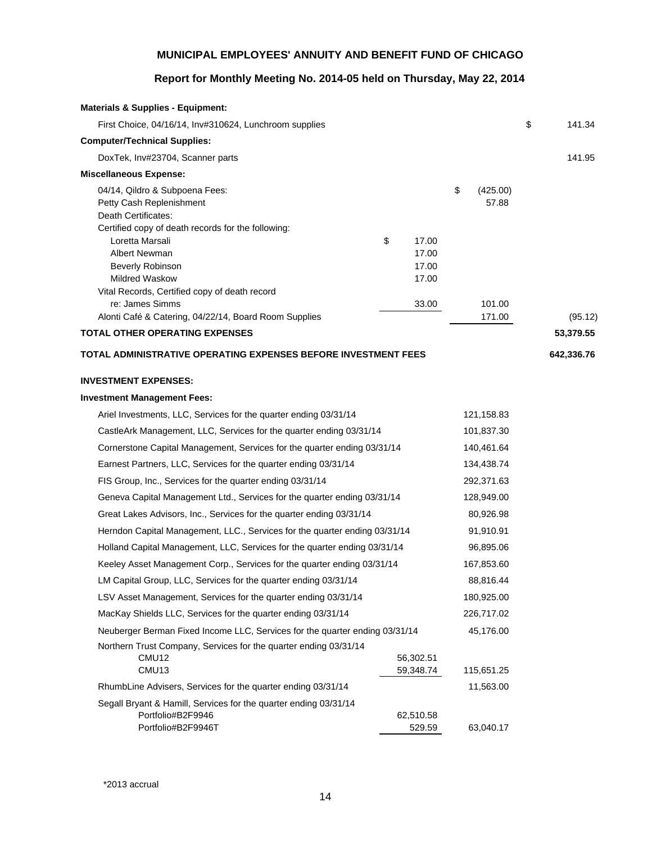# **Report for Monthly Meeting No. 2014-05 held on Thursday, May 22, 2014**

| <b>Materials &amp; Supplies - Equipment:</b>                                      |                      |                         |              |
|-----------------------------------------------------------------------------------|----------------------|-------------------------|--------------|
| First Choice, 04/16/14, Inv#310624, Lunchroom supplies                            |                      |                         | \$<br>141.34 |
| <b>Computer/Technical Supplies:</b>                                               |                      |                         |              |
| DoxTek, Inv#23704, Scanner parts                                                  |                      |                         | 141.95       |
| <b>Miscellaneous Expense:</b>                                                     |                      |                         |              |
| 04/14, Qildro & Subpoena Fees:<br>Petty Cash Replenishment<br>Death Certificates: |                      | \$<br>(425.00)<br>57.88 |              |
| Certified copy of death records for the following:                                |                      |                         |              |
| Loretta Marsali<br><b>Albert Newman</b>                                           | \$<br>17.00<br>17.00 |                         |              |
| Beverly Robinson                                                                  | 17.00                |                         |              |
| <b>Mildred Waskow</b>                                                             | 17.00                |                         |              |
| Vital Records, Certified copy of death record                                     |                      |                         |              |
| re: James Simms                                                                   | 33.00                | 101.00                  |              |
| Alonti Café & Catering, 04/22/14, Board Room Supplies                             |                      | 171.00                  | (95.12)      |
| <b>TOTAL OTHER OPERATING EXPENSES</b>                                             |                      |                         | 53,379.55    |
| TOTAL ADMINISTRATIVE OPERATING EXPENSES BEFORE INVESTMENT FEES                    |                      |                         | 642,336.76   |
| <b>INVESTMENT EXPENSES:</b>                                                       |                      |                         |              |
| <b>Investment Management Fees:</b>                                                |                      |                         |              |
| Ariel Investments, LLC, Services for the quarter ending 03/31/14                  |                      | 121,158.83              |              |
| CastleArk Management, LLC, Services for the quarter ending 03/31/14               |                      | 101,837.30              |              |
| Cornerstone Capital Management, Services for the quarter ending 03/31/14          |                      | 140,461.64              |              |
| Earnest Partners, LLC, Services for the quarter ending 03/31/14                   |                      | 134,438.74              |              |
| FIS Group, Inc., Services for the quarter ending 03/31/14                         |                      | 292,371.63              |              |
| Geneva Capital Management Ltd., Services for the quarter ending 03/31/14          |                      | 128,949.00              |              |
| Great Lakes Advisors, Inc., Services for the quarter ending 03/31/14              |                      | 80,926.98               |              |
| Herndon Capital Management, LLC., Services for the quarter ending 03/31/14        |                      | 91,910.91               |              |
| Holland Capital Management, LLC, Services for the quarter ending 03/31/14         |                      | 96,895.06               |              |
| Keeley Asset Management Corp., Services for the quarter ending 03/31/14           |                      | 167,853.60              |              |
| LM Capital Group, LLC, Services for the quarter ending 03/31/14                   |                      | 88,816.44               |              |
| LSV Asset Management, Services for the quarter ending 03/31/14                    |                      | 180,925.00              |              |
| MacKay Shields LLC, Services for the quarter ending 03/31/14                      |                      | 226,717.02              |              |
| Neuberger Berman Fixed Income LLC, Services for the quarter ending 03/31/14       |                      | 45,176.00               |              |
| Northern Trust Company, Services for the quarter ending 03/31/14<br>CMU12         | 56,302.51            |                         |              |
| CMU13                                                                             | 59,348.74            | 115,651.25              |              |
| RhumbLine Advisers, Services for the quarter ending 03/31/14                      |                      | 11,563.00               |              |
| Segall Bryant & Hamill, Services for the quarter ending 03/31/14                  |                      |                         |              |
| Portfolio#B2F9946<br>Portfolio#B2F9946T                                           | 62,510.58<br>529.59  | 63,040.17               |              |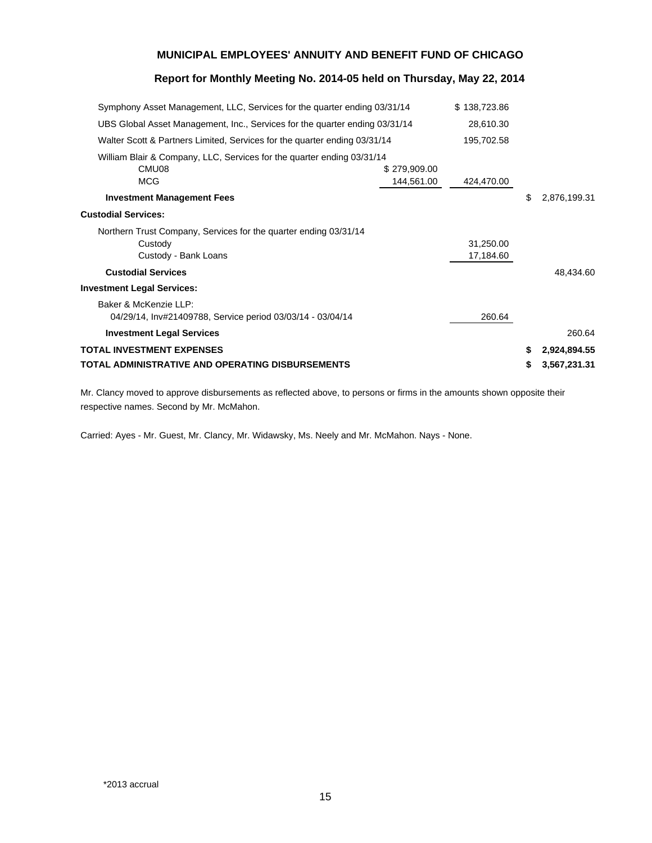### **Report for Monthly Meeting No. 2014-05 held on Thursday, May 22, 2014**

| Symphony Asset Management, LLC, Services for the quarter ending 03/31/14                            |                            | \$138,723.86           |    |              |
|-----------------------------------------------------------------------------------------------------|----------------------------|------------------------|----|--------------|
| UBS Global Asset Management, Inc., Services for the quarter ending 03/31/14                         |                            | 28,610.30              |    |              |
| Walter Scott & Partners Limited, Services for the quarter ending 03/31/14                           |                            | 195,702.58             |    |              |
| William Blair & Company, LLC, Services for the quarter ending 03/31/14<br>CMU08<br><b>MCG</b>       | \$279,909.00<br>144,561.00 | 424,470.00             |    |              |
| <b>Investment Management Fees</b>                                                                   |                            |                        | \$ | 2,876,199.31 |
| <b>Custodial Services:</b>                                                                          |                            |                        |    |              |
| Northern Trust Company, Services for the quarter ending 03/31/14<br>Custody<br>Custody - Bank Loans |                            | 31,250.00<br>17,184.60 |    |              |
| <b>Custodial Services</b>                                                                           |                            |                        |    | 48,434.60    |
| <b>Investment Legal Services:</b>                                                                   |                            |                        |    |              |
| Baker & McKenzie LLP:<br>04/29/14, Inv#21409788, Service period 03/03/14 - 03/04/14                 |                            | 260.64                 |    |              |
| <b>Investment Legal Services</b>                                                                    |                            |                        |    | 260.64       |
| <b>TOTAL INVESTMENT EXPENSES</b>                                                                    |                            |                        | \$ | 2,924,894.55 |
| TOTAL ADMINISTRATIVE AND OPERATING DISBURSEMENTS                                                    |                            |                        | S  | 3,567,231.31 |

Mr. Clancy moved to approve disbursements as reflected above, to persons or firms in the amounts shown opposite their respective names. Second by Mr. McMahon.

Carried: Ayes - Mr. Guest, Mr. Clancy, Mr. Widawsky, Ms. Neely and Mr. McMahon. Nays - None.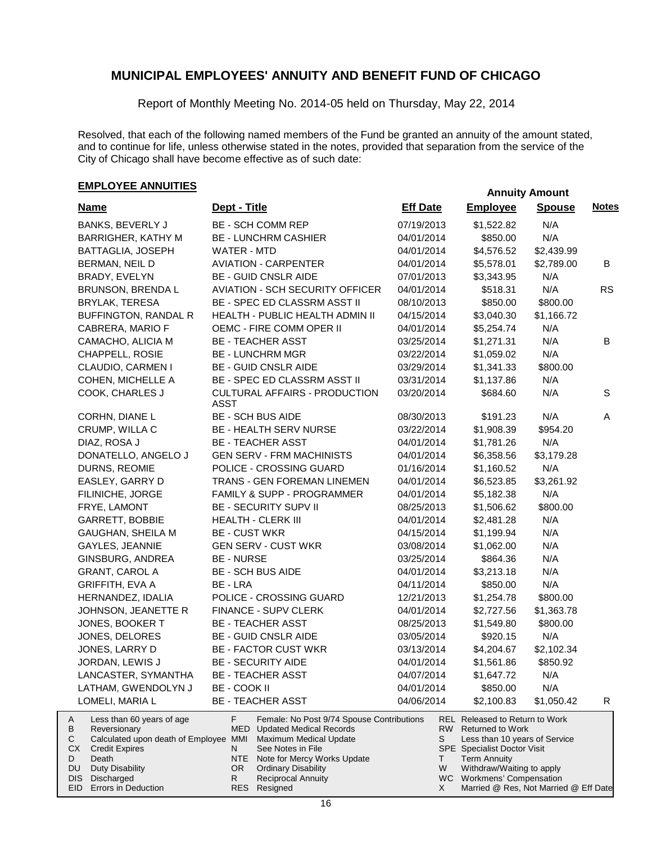Report of Monthly Meeting No. 2014-05 held on Thursday, May 22, 2014

Resolved, that each of the following named members of the Fund be granted an annuity of the amount stated, and to continue for life, unless otherwise stated in the notes, provided that separation from the service of the City of Chicago shall have become effective as of such date:

# **EMPLOYEE ANNUITIES**<br> **EMPLOYEE ANNUITIES**

Errors in Deduction

EID

| <b>Name</b>                                                                                                                                                                                   | Dept - Title                                                                                                                                                                                                                                                  | <b>Eff Date</b>     | <b>Employee</b>                                                                                                                                                                                                          | <b>Spouse</b> | <b>Notes</b> |
|-----------------------------------------------------------------------------------------------------------------------------------------------------------------------------------------------|---------------------------------------------------------------------------------------------------------------------------------------------------------------------------------------------------------------------------------------------------------------|---------------------|--------------------------------------------------------------------------------------------------------------------------------------------------------------------------------------------------------------------------|---------------|--------------|
| <b>BANKS, BEVERLY J</b>                                                                                                                                                                       | BE - SCH COMM REP                                                                                                                                                                                                                                             | 07/19/2013          | \$1,522.82                                                                                                                                                                                                               | N/A           |              |
| BARRIGHER, KATHY M                                                                                                                                                                            | <b>BE - LUNCHRM CASHIER</b>                                                                                                                                                                                                                                   | 04/01/2014          | \$850.00                                                                                                                                                                                                                 | N/A           |              |
| BATTAGLIA, JOSEPH                                                                                                                                                                             | WATER - MTD                                                                                                                                                                                                                                                   | 04/01/2014          | \$4,576.52                                                                                                                                                                                                               | \$2,439.99    |              |
| BERMAN, NEIL D                                                                                                                                                                                | <b>AVIATION - CARPENTER</b>                                                                                                                                                                                                                                   | 04/01/2014          | \$5,578.01                                                                                                                                                                                                               | \$2,789.00    | B            |
| BRADY, EVELYN                                                                                                                                                                                 | <b>BE - GUID CNSLR AIDE</b>                                                                                                                                                                                                                                   | 07/01/2013          | \$3,343.95                                                                                                                                                                                                               | N/A           |              |
| BRUNSON, BRENDA L                                                                                                                                                                             | <b>AVIATION - SCH SECURITY OFFICER</b>                                                                                                                                                                                                                        | 04/01/2014          | \$518.31                                                                                                                                                                                                                 | N/A           | <b>RS</b>    |
| BRYLAK, TERESA                                                                                                                                                                                | BE - SPEC ED CLASSRM ASST II                                                                                                                                                                                                                                  | 08/10/2013          | \$850.00                                                                                                                                                                                                                 | \$800.00      |              |
| BUFFINGTON, RANDAL R                                                                                                                                                                          | HEALTH - PUBLIC HEALTH ADMIN II                                                                                                                                                                                                                               | 04/15/2014          | \$3,040.30                                                                                                                                                                                                               | \$1,166.72    |              |
| CABRERA, MARIO F                                                                                                                                                                              | OEMC - FIRE COMM OPER II                                                                                                                                                                                                                                      | 04/01/2014          | \$5,254.74                                                                                                                                                                                                               | N/A           |              |
| CAMACHO, ALICIA M                                                                                                                                                                             | <b>BE - TEACHER ASST</b>                                                                                                                                                                                                                                      | 03/25/2014          | \$1,271.31                                                                                                                                                                                                               | N/A           | B            |
| CHAPPELL, ROSIE                                                                                                                                                                               | <b>BE - LUNCHRM MGR</b>                                                                                                                                                                                                                                       | 03/22/2014          | \$1,059.02                                                                                                                                                                                                               | N/A           |              |
| CLAUDIO, CARMEN I                                                                                                                                                                             | <b>BE - GUID CNSLR AIDE</b>                                                                                                                                                                                                                                   | 03/29/2014          | \$1,341.33                                                                                                                                                                                                               | \$800.00      |              |
| COHEN, MICHELLE A                                                                                                                                                                             | BE - SPEC ED CLASSRM ASST II                                                                                                                                                                                                                                  | 03/31/2014          | \$1,137.86                                                                                                                                                                                                               | N/A           |              |
| COOK, CHARLES J                                                                                                                                                                               | CULTURAL AFFAIRS - PRODUCTION<br><b>ASST</b>                                                                                                                                                                                                                  | 03/20/2014          | \$684.60                                                                                                                                                                                                                 | N/A           | S            |
| CORHN, DIANE L                                                                                                                                                                                | <b>BE - SCH BUS AIDE</b>                                                                                                                                                                                                                                      | 08/30/2013          | \$191.23                                                                                                                                                                                                                 | N/A           | A            |
| CRUMP, WILLA C                                                                                                                                                                                | BE - HEALTH SERV NURSE                                                                                                                                                                                                                                        | 03/22/2014          | \$1,908.39                                                                                                                                                                                                               | \$954.20      |              |
| DIAZ, ROSA J                                                                                                                                                                                  | <b>BE - TEACHER ASST</b>                                                                                                                                                                                                                                      | 04/01/2014          | \$1,781.26                                                                                                                                                                                                               | N/A           |              |
| DONATELLO, ANGELO J                                                                                                                                                                           | <b>GEN SERV - FRM MACHINISTS</b>                                                                                                                                                                                                                              | 04/01/2014          | \$6,358.56                                                                                                                                                                                                               | \$3,179.28    |              |
| DURNS, REOMIE                                                                                                                                                                                 | POLICE - CROSSING GUARD                                                                                                                                                                                                                                       | 01/16/2014          | \$1,160.52                                                                                                                                                                                                               | N/A           |              |
| EASLEY, GARRY D                                                                                                                                                                               | TRANS - GEN FOREMAN LINEMEN                                                                                                                                                                                                                                   | 04/01/2014          | \$6,523.85                                                                                                                                                                                                               | \$3,261.92    |              |
| FILINICHE, JORGE                                                                                                                                                                              | FAMILY & SUPP - PROGRAMMER                                                                                                                                                                                                                                    | 04/01/2014          | \$5,182.38                                                                                                                                                                                                               | N/A           |              |
| FRYE, LAMONT                                                                                                                                                                                  | <b>BE - SECURITY SUPV II</b>                                                                                                                                                                                                                                  | 08/25/2013          | \$1,506.62                                                                                                                                                                                                               | \$800.00      |              |
| <b>GARRETT, BOBBIE</b>                                                                                                                                                                        | <b>HEALTH - CLERK III</b>                                                                                                                                                                                                                                     | 04/01/2014          | \$2,481.28                                                                                                                                                                                                               | N/A           |              |
| GAUGHAN, SHEILA M                                                                                                                                                                             | <b>BE - CUST WKR</b>                                                                                                                                                                                                                                          | 04/15/2014          | \$1,199.94                                                                                                                                                                                                               | N/A           |              |
| GAYLES, JEANNIE                                                                                                                                                                               | <b>GEN SERV - CUST WKR</b>                                                                                                                                                                                                                                    | 03/08/2014          | \$1,062.00                                                                                                                                                                                                               | N/A           |              |
| GINSBURG, ANDREA                                                                                                                                                                              | <b>BE - NURSE</b>                                                                                                                                                                                                                                             | 03/25/2014          | \$864.36                                                                                                                                                                                                                 | N/A           |              |
| <b>GRANT, CAROL A</b>                                                                                                                                                                         | <b>BE - SCH BUS AIDE</b>                                                                                                                                                                                                                                      | 04/01/2014          | \$3,213.18                                                                                                                                                                                                               | N/A           |              |
| GRIFFITH, EVA A                                                                                                                                                                               | BE - LRA                                                                                                                                                                                                                                                      | 04/11/2014          | \$850.00                                                                                                                                                                                                                 | N/A           |              |
| HERNANDEZ, IDALIA                                                                                                                                                                             | POLICE - CROSSING GUARD                                                                                                                                                                                                                                       | 12/21/2013          | \$1,254.78                                                                                                                                                                                                               | \$800.00      |              |
| JOHNSON, JEANETTE R                                                                                                                                                                           | FINANCE - SUPV CLERK                                                                                                                                                                                                                                          | 04/01/2014          | \$2,727.56                                                                                                                                                                                                               | \$1,363.78    |              |
| JONES, BOOKER T                                                                                                                                                                               | <b>BE - TEACHER ASST</b>                                                                                                                                                                                                                                      | 08/25/2013          | \$1,549.80                                                                                                                                                                                                               | \$800.00      |              |
| JONES, DELORES                                                                                                                                                                                | <b>BE - GUID CNSLR AIDE</b>                                                                                                                                                                                                                                   | 03/05/2014          | \$920.15                                                                                                                                                                                                                 | N/A           |              |
| JONES, LARRY D                                                                                                                                                                                | <b>BE - FACTOR CUST WKR</b>                                                                                                                                                                                                                                   | 03/13/2014          | \$4,204.67                                                                                                                                                                                                               | \$2,102.34    |              |
| JORDAN, LEWIS J                                                                                                                                                                               | <b>BE - SECURITY AIDE</b>                                                                                                                                                                                                                                     | 04/01/2014          | \$1,561.86                                                                                                                                                                                                               | \$850.92      |              |
| LANCASTER, SYMANTHA                                                                                                                                                                           | <b>BE - TEACHER ASST</b>                                                                                                                                                                                                                                      | 04/07/2014          | \$1,647.72                                                                                                                                                                                                               | N/A           |              |
| LATHAM, GWENDOLYN J                                                                                                                                                                           | BE - COOK II                                                                                                                                                                                                                                                  | 04/01/2014          | \$850.00                                                                                                                                                                                                                 | N/A           |              |
|                                                                                                                                                                                               |                                                                                                                                                                                                                                                               |                     |                                                                                                                                                                                                                          |               |              |
| LOMELI, MARIA L                                                                                                                                                                               | <b>BE - TEACHER ASST</b>                                                                                                                                                                                                                                      | 04/06/2014          | \$2,100.83                                                                                                                                                                                                               | \$1,050.42    | R            |
| Less than 60 years of age<br>A<br>В<br>Reversionary<br>Calculated upon death of Employee MMI<br>С<br>СX<br><b>Credit Expires</b><br>D<br>Death<br>Duty Disability<br>DU<br>Discharged<br>DIS. | F.<br>Female: No Post 9/74 Spouse Contributions<br><b>MED</b> Updated Medical Records<br><b>Maximum Medical Update</b><br>See Notes in File<br>N<br>NTE<br>Note for Mercy Works Update<br>OR<br><b>Ordinary Disability</b><br>R.<br><b>Reciprocal Annuity</b> | RW  <br>S<br>T<br>W | <b>REL Released to Return to Work</b><br><b>Returned to Work</b><br>Less than 10 years of Service<br><b>SPE</b> Specialist Doctor Visit<br><b>Term Annuity</b><br>Withdraw/Waiting to apply<br>WC Workmens' Compensation |               |              |

Resigned

RES

Married @ Res, Not Married @ Eff Date

X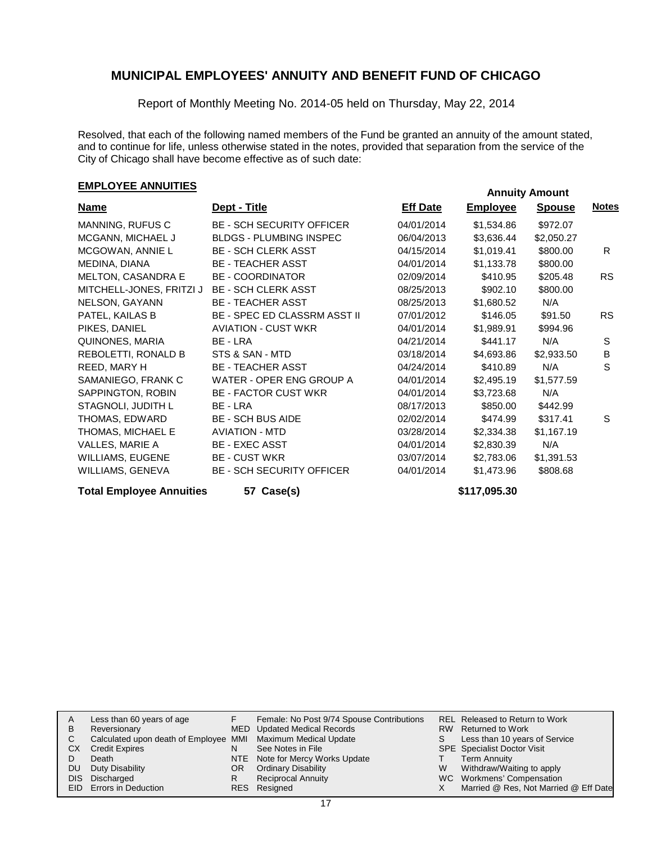Report of Monthly Meeting No. 2014-05 held on Thursday, May 22, 2014

Resolved, that each of the following named members of the Fund be granted an annuity of the amount stated, and to continue for life, unless otherwise stated in the notes, provided that separation from the service of the City of Chicago shall have become effective as of such date:

# **EMPLOYEE ANNUITIES Annuity Amount**

| <b>Name</b>               | Dept - Title                        | <b>Eff Date</b> | <b>Employee</b> | <b>Spouse</b> | <b>Notes</b> |
|---------------------------|-------------------------------------|-----------------|-----------------|---------------|--------------|
| MANNING, RUFUS C          | <b>BE - SCH SECURITY OFFICER</b>    | 04/01/2014      | \$1,534.86      | \$972.07      |              |
| MCGANN, MICHAEL J         | <b>BLDGS - PLUMBING INSPEC</b>      | 06/04/2013      | \$3,636.44      | \$2,050.27    |              |
| MCGOWAN, ANNIE L          | <b>BE - SCH CLERK ASST</b>          | 04/15/2014      | \$1,019.41      | \$800.00      | R.           |
| MEDINA, DIANA             | <b>BE - TEACHER ASST</b>            | 04/01/2014      | \$1,133.78      | \$800.00      |              |
| <b>MELTON, CASANDRA E</b> | <b>BE - COORDINATOR</b>             | 02/09/2014      | \$410.95        | \$205.48      | <b>RS</b>    |
| MITCHELL-JONES, FRITZI J  | <b>BE - SCH CLERK ASST</b>          | 08/25/2013      | \$902.10        | \$800.00      |              |
| NELSON, GAYANN            | <b>BE - TEACHER ASST</b>            | 08/25/2013      | \$1,680.52      | N/A           |              |
| PATEL, KAILAS B           | <b>BE - SPEC ED CLASSRM ASST II</b> | 07/01/2012      | \$146.05        | \$91.50       | <b>RS</b>    |
| PIKES, DANIEL             | <b>AVIATION - CUST WKR</b>          | 04/01/2014      | \$1,989.91      | \$994.96      |              |
| QUINONES, MARIA           | BE - LRA                            | 04/21/2014      | \$441.17        | N/A           | S            |
| REBOLETTI, RONALD B       | STS & SAN - MTD                     | 03/18/2014      | \$4,693.86      | \$2,933.50    | B            |
| REED, MARY H              | <b>BE - TEACHER ASST</b>            | 04/24/2014      | \$410.89        | N/A           | S            |
| SAMANIEGO, FRANK C        | WATER - OPER ENG GROUP A            | 04/01/2014      | \$2,495.19      | \$1,577.59    |              |
| SAPPINGTON, ROBIN         | <b>BE - FACTOR CUST WKR</b>         | 04/01/2014      | \$3,723.68      | N/A           |              |
| STAGNOLI, JUDITH L        | BE - LRA                            | 08/17/2013      | \$850.00        | \$442.99      |              |
| THOMAS, EDWARD            | <b>BE - SCH BUS AIDE</b>            | 02/02/2014      | \$474.99        | \$317.41      | S            |
| THOMAS, MICHAEL E         | <b>AVIATION - MTD</b>               | 03/28/2014      | \$2,334.38      | \$1,167.19    |              |
| VALLES, MARIE A           | <b>BE - EXEC ASST</b>               | 04/01/2014      | \$2,830.39      | N/A           |              |
| WILLIAMS, EUGENE          | <b>BE - CUST WKR</b>                | 03/07/2014      | \$2,783.06      | \$1,391.53    |              |
| WILLIAMS, GENEVA          | <b>BE - SCH SECURITY OFFICER</b>    | 04/01/2014      | \$1,473.96      | \$808.68      |              |
|                           |                                     |                 |                 |               |              |

Total Employee Annuities **57 Case(s) 57 Case(s)** 57 Case(s) 57 Case(s) 51 Case 51 17,095.30

| Α  | Less than 60 years of age                                    |     | Female: No Post 9/74 Spouse Contributions |    | REL Released to Return to Work        |
|----|--------------------------------------------------------------|-----|-------------------------------------------|----|---------------------------------------|
| В  | Reversionary                                                 |     | MED Updated Medical Records               |    | RW Returned to Work                   |
|    | Calculated upon death of Employee MMI Maximum Medical Update |     |                                           | S. | Less than 10 years of Service         |
| СX | <b>Credit Expires</b>                                        | N   | See Notes in File                         |    | <b>SPE</b> Specialist Doctor Visit    |
|    | Death                                                        |     | NTE Note for Mercy Works Update           |    | <b>Term Annuity</b>                   |
| DU | Duty Disability                                              | OR. | <b>Ordinary Disability</b>                | W  | Withdraw/Waiting to apply             |
|    | DIS Discharged                                               |     | <b>Reciprocal Annuity</b>                 |    | WC Workmens' Compensation             |
|    | EID Errors in Deduction                                      |     | RES Resigned                              |    | Married @ Res, Not Married @ Eff Date |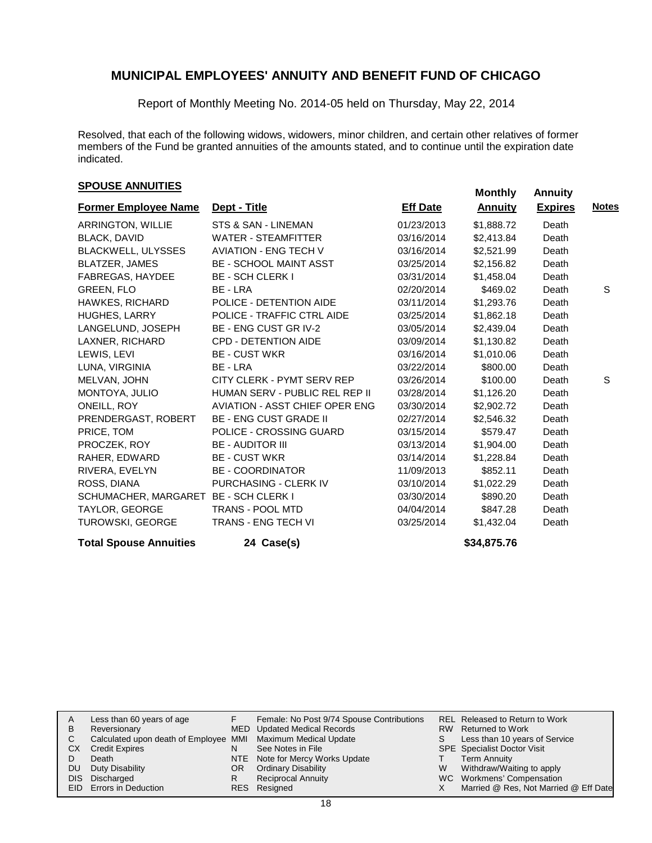Report of Monthly Meeting No. 2014-05 held on Thursday, May 22, 2014

Resolved, that each of the following widows, widowers, minor children, and certain other relatives of former members of the Fund be granted annuities of the amounts stated, and to continue until the expiration date indicated.

# **SPOUSE ANNUITIES**<br> **SPOUSE ANNUITIES**

| <b>Former Employee Name</b>   | Dept - Title                          | <b>Eff Date</b> | <b>Annuity</b> | <b>Expires</b> | <b>Notes</b> |
|-------------------------------|---------------------------------------|-----------------|----------------|----------------|--------------|
| ARRINGTON, WILLIE             | STS & SAN - LINEMAN                   | 01/23/2013      | \$1,888.72     | Death          |              |
| <b>BLACK, DAVID</b>           | <b>WATER - STEAMFITTER</b>            | 03/16/2014      | \$2,413.84     | Death          |              |
| <b>BLACKWELL, ULYSSES</b>     | <b>AVIATION - ENG TECH V</b>          | 03/16/2014      | \$2,521.99     | Death          |              |
| <b>BLATZER, JAMES</b>         | <b>BE - SCHOOL MAINT ASST</b>         | 03/25/2014      | \$2,156.82     | Death          |              |
| FABREGAS, HAYDEE              | <b>BE - SCH CLERK I</b>               | 03/31/2014      | \$1,458.04     | Death          |              |
| GREEN, FLO                    | BE - LRA                              | 02/20/2014      | \$469.02       | Death          | S            |
| <b>HAWKES, RICHARD</b>        | POLICE - DETENTION AIDE               | 03/11/2014      | \$1,293.76     | Death          |              |
| <b>HUGHES, LARRY</b>          | POLICE - TRAFFIC CTRL AIDE            | 03/25/2014      | \$1,862.18     | Death          |              |
| LANGELUND, JOSEPH             | <b>BE - ENG CUST GR IV-2</b>          | 03/05/2014      | \$2,439.04     | Death          |              |
| LAXNER, RICHARD               | <b>CPD - DETENTION AIDE</b>           | 03/09/2014      | \$1,130.82     | Death          |              |
| LEWIS, LEVI                   | <b>BE - CUST WKR</b>                  | 03/16/2014      | \$1,010.06     | Death          |              |
| LUNA, VIRGINIA                | BE - LRA                              | 03/22/2014      | \$800.00       | Death          |              |
| MELVAN, JOHN                  | CITY CLERK - PYMT SERV REP            | 03/26/2014      | \$100.00       | Death          | S            |
| MONTOYA, JULIO                | HUMAN SERV - PUBLIC REL REP II        | 03/28/2014      | \$1,126.20     | Death          |              |
| ONEILL, ROY                   | <b>AVIATION - ASST CHIEF OPER ENG</b> | 03/30/2014      | \$2,902.72     | Death          |              |
| PRENDERGAST, ROBERT           | <b>BE - ENG CUST GRADE II</b>         | 02/27/2014      | \$2,546.32     | Death          |              |
| PRICE, TOM                    | POLICE - CROSSING GUARD               | 03/15/2014      | \$579.47       | Death          |              |
| PROCZEK, ROY                  | <b>BE - AUDITOR III</b>               | 03/13/2014      | \$1,904.00     | Death          |              |
| RAHER, EDWARD                 | <b>BE - CUST WKR</b>                  | 03/14/2014      | \$1,228.84     | Death          |              |
| RIVERA, EVELYN                | <b>BE - COORDINATOR</b>               | 11/09/2013      | \$852.11       | Death          |              |
| ROSS, DIANA                   | PURCHASING - CLERK IV                 | 03/10/2014      | \$1,022.29     | Death          |              |
| SCHUMACHER, MARGARET          | <b>BE - SCH CLERK I</b>               | 03/30/2014      | \$890.20       | Death          |              |
| TAYLOR, GEORGE                | TRANS - POOL MTD                      | 04/04/2014      | \$847.28       | Death          |              |
| <b>TUROWSKI, GEORGE</b>       | <b>TRANS - ENG TECH VI</b>            | 03/25/2014      | \$1,432.04     | Death          |              |
| <b>Total Spouse Annuities</b> | 24 Case(s)                            |                 | \$34,875.76    |                |              |

| Less than 60 years of age<br>A<br>Reversionary<br>в<br>С<br><b>Credit Expires</b><br>CХ<br>Death<br>Duty Disability<br>DU<br>Discharged<br><b>DIS</b><br>EID Errors in Deduction | Calculated upon death of Employee MMI Maximum Medical Update | N<br>OR<br>R | Female: No Post 9/74 Spouse Contributions<br>MED Updated Medical Records<br>See Notes in File<br>NTE Note for Mercy Works Update<br><b>Ordinary Disability</b><br><b>Reciprocal Annuity</b><br>RES Resigned | S.<br>W | REL Released to Return to Work<br>RW Returned to Work<br>Less than 10 years of Service<br><b>SPE</b> Specialist Doctor Visit<br><b>Term Annuity</b><br>Withdraw/Waiting to apply<br>WC Workmens' Compensation<br>Married @ Res, Not Married @ Eff Date |
|----------------------------------------------------------------------------------------------------------------------------------------------------------------------------------|--------------------------------------------------------------|--------------|-------------------------------------------------------------------------------------------------------------------------------------------------------------------------------------------------------------|---------|--------------------------------------------------------------------------------------------------------------------------------------------------------------------------------------------------------------------------------------------------------|
|----------------------------------------------------------------------------------------------------------------------------------------------------------------------------------|--------------------------------------------------------------|--------------|-------------------------------------------------------------------------------------------------------------------------------------------------------------------------------------------------------------|---------|--------------------------------------------------------------------------------------------------------------------------------------------------------------------------------------------------------------------------------------------------------|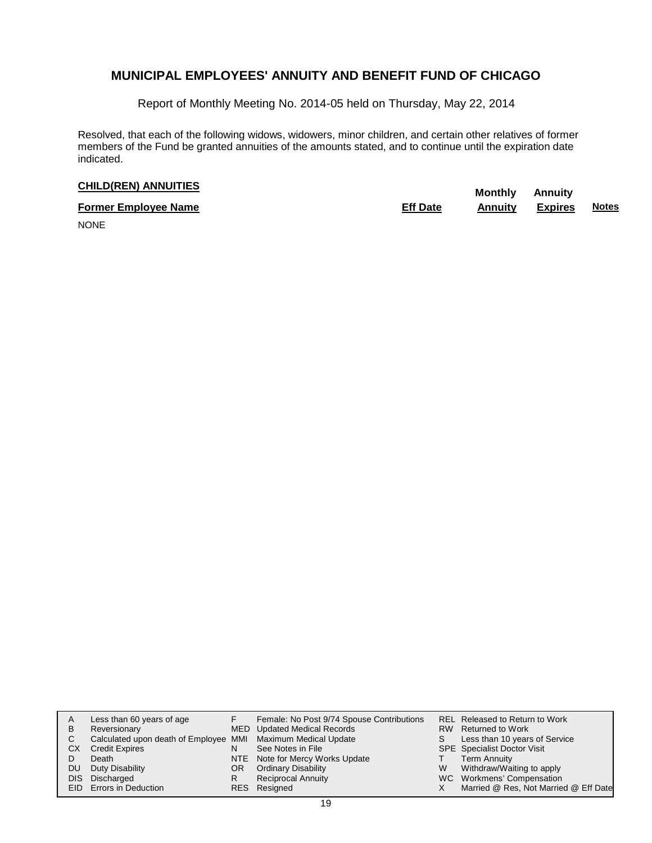Report of Monthly Meeting No. 2014-05 held on Thursday, May 22, 2014

Resolved, that each of the following widows, widowers, minor children, and certain other relatives of former members of the Fund be granted annuities of the amounts stated, and to continue until the expiration date indicated.

# **CHILD(REN) ANNUITIES Monthly** Annuity

| <b>Former Employee Name</b> | <b>Eff Date</b> | <b>Annuity Expires</b> | <b>Notes</b> |
|-----------------------------|-----------------|------------------------|--------------|
| $\cdots$                    |                 |                        |              |

NONE

| A<br>в<br>С<br>CХ<br>DU<br>DIS. | Less than 60 years of age<br>Reversionary<br>Calculated upon death of Employee MMI Maximum Medical Update<br><b>Credit Expires</b><br>Death<br>Duty Disability<br>Discharged<br>EID Errors in Deduction | N<br>OR.<br>R | Female: No Post 9/74 Spouse Contributions<br>MED Updated Medical Records<br>See Notes in File<br>NTE Note for Mercy Works Update<br><b>Ordinary Disability</b><br><b>Reciprocal Annuity</b><br>RES Resigned | S.<br>W | REL Released to Return to Work<br>RW Returned to Work<br>Less than 10 years of Service<br><b>SPE</b> Specialist Doctor Visit<br><b>Term Annuity</b><br>Withdraw/Waiting to apply<br>WC Workmens' Compensation<br>Married @ Res, Not Married @ Eff Date |
|---------------------------------|---------------------------------------------------------------------------------------------------------------------------------------------------------------------------------------------------------|---------------|-------------------------------------------------------------------------------------------------------------------------------------------------------------------------------------------------------------|---------|--------------------------------------------------------------------------------------------------------------------------------------------------------------------------------------------------------------------------------------------------------|
|---------------------------------|---------------------------------------------------------------------------------------------------------------------------------------------------------------------------------------------------------|---------------|-------------------------------------------------------------------------------------------------------------------------------------------------------------------------------------------------------------|---------|--------------------------------------------------------------------------------------------------------------------------------------------------------------------------------------------------------------------------------------------------------|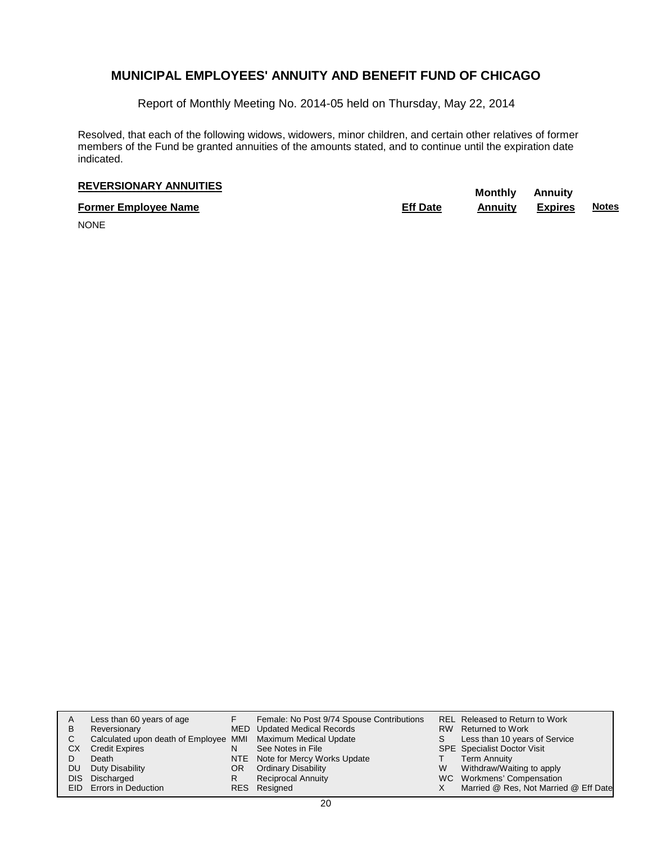Report of Monthly Meeting No. 2014-05 held on Thursday, May 22, 2014

Resolved, that each of the following widows, widowers, minor children, and certain other relatives of former members of the Fund be granted annuities of the amounts stated, and to continue until the expiration date indicated.

# **REVERSIONARY ANNUITIES Monthly** Annuity

**Former Employee Name Eff Date Annuity Expires Notes**

NONE

| А<br>в<br>C<br>CХ | Less than 60 years of age<br>Reversionary<br>Calculated upon death of Employee MMI Maximum Medical Update<br><b>Credit Expires</b><br>Death | N<br>NTE | Female: No Post 9/74 Spouse Contributions<br>MED Updated Medical Records<br>See Notes in File<br>Note for Mercy Works Update | S | REL Released to Return to Work<br>RW Returned to Work<br>Less than 10 years of Service<br><b>SPE</b> Specialist Doctor Visit<br><b>Term Annuity</b> |
|-------------------|---------------------------------------------------------------------------------------------------------------------------------------------|----------|------------------------------------------------------------------------------------------------------------------------------|---|-----------------------------------------------------------------------------------------------------------------------------------------------------|
| DU                | Duty Disability                                                                                                                             | OR       | <b>Ordinary Disability</b>                                                                                                   | W | Withdraw/Waiting to apply                                                                                                                           |
| DIS               | Discharged<br><b>EID</b> Errors in Deduction                                                                                                |          | <b>Reciprocal Annuity</b><br>RES Resigned                                                                                    |   | WC Workmens' Compensation<br>Married @ Res, Not Married @ Eff Date                                                                                  |
|                   |                                                                                                                                             |          |                                                                                                                              |   |                                                                                                                                                     |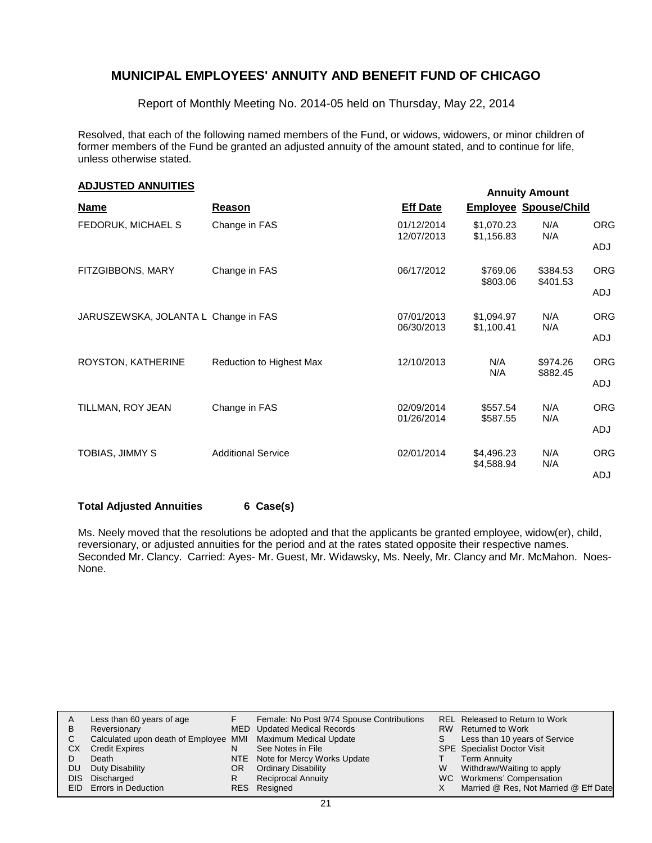Report of Monthly Meeting No. 2014-05 held on Thursday, May 22, 2014

Resolved, that each of the following named members of the Fund, or widows, widowers, or minor children of former members of the Fund be granted an adjusted annuity of the amount stated, and to continue for life, unless otherwise stated.

| <b>ADJUSTED ANNUITIES</b><br><b>Annuity Amount</b> |                           |                          |                          |                              |                   |  |  |  |
|----------------------------------------------------|---------------------------|--------------------------|--------------------------|------------------------------|-------------------|--|--|--|
| <b>Name</b>                                        | Reason                    | <b>Eff Date</b>          |                          | <b>Employee Spouse/Child</b> |                   |  |  |  |
| FEDORUK, MICHAEL S                                 | Change in FAS             | 01/12/2014<br>12/07/2013 | \$1,070.23<br>\$1,156.83 | N/A<br>N/A                   | <b>ORG</b><br>ADJ |  |  |  |
| FITZGIBBONS, MARY                                  | Change in FAS             | 06/17/2012               | \$769.06<br>\$803.06     | \$384.53<br>\$401.53         | <b>ORG</b>        |  |  |  |
| JARUSZEWSKA, JOLANTA L Change in FAS               |                           | 07/01/2013               | \$1,094.97               | N/A                          | ADJ<br><b>ORG</b> |  |  |  |
|                                                    |                           | 06/30/2013               | \$1,100.41               | N/A                          | ADJ               |  |  |  |
| ROYSTON, KATHERINE                                 | Reduction to Highest Max  | 12/10/2013               | N/A<br>N/A               | \$974.26<br>\$882.45         | <b>ORG</b><br>ADJ |  |  |  |
| TILLMAN, ROY JEAN                                  | Change in FAS             | 02/09/2014               | \$557.54                 | N/A                          | <b>ORG</b>        |  |  |  |
|                                                    |                           | 01/26/2014               | \$587.55                 | N/A                          | ADJ               |  |  |  |
| TOBIAS, JIMMY S                                    | <b>Additional Service</b> | 02/01/2014               | \$4,496.23               | N/A                          | <b>ORG</b>        |  |  |  |
|                                                    |                           |                          | \$4,588.94               | N/A                          | ADJ               |  |  |  |

#### **Total Adjusted Annuities 6 Case(s)**

Ms. Neely moved that the resolutions be adopted and that the applicants be granted employee, widow(er), child, reversionary, or adjusted annuities for the period and at the rates stated opposite their respective names. Seconded Mr. Clancy. Carried: Ayes- Mr. Guest, Mr. Widawsky, Ms. Neely, Mr. Clancy and Mr. McMahon. Noes-None.

| A  | Less than 60 years of age                                    |     | Female: No Post 9/74 Spouse Contributions |    | REL Released to Return to Work        |
|----|--------------------------------------------------------------|-----|-------------------------------------------|----|---------------------------------------|
| B  | Reversionary                                                 |     | <b>MED</b> Updated Medical Records        |    | RW Returned to Work                   |
| C  | Calculated upon death of Employee MMI Maximum Medical Update |     |                                           | S. | Less than 10 years of Service         |
| CХ | <b>Credit Expires</b>                                        | N   | See Notes in File                         |    | <b>SPE</b> Specialist Doctor Visit    |
|    | Death                                                        |     | NTE Note for Mercy Works Update           |    | Term Annuity                          |
| DU | Duty Disability                                              | OR. | <b>Ordinary Disability</b>                | W  | Withdraw/Waiting to apply             |
|    | DIS Discharged                                               | R   | Reciprocal Annuity                        |    | WC Workmens' Compensation             |
|    | <b>EID</b> Errors in Deduction                               |     | RES Resigned                              |    | Married @ Res, Not Married @ Eff Date |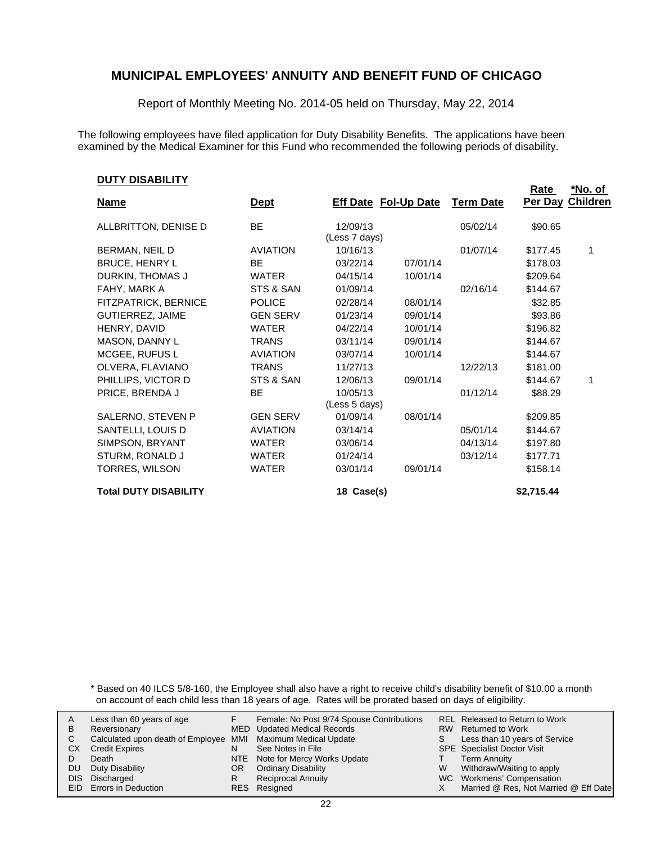Report of Monthly Meeting No. 2014-05 held on Thursday, May 22, 2014

The following employees have filed application for Duty Disability Benefits. The applications have been examined by the Medical Examiner for this Fund who recommended the following periods of disability.

#### **DUTY DISABILITY**

|                              |                 |               |                             |                  | <b>Rate</b> | <u>*No. of </u> |
|------------------------------|-----------------|---------------|-----------------------------|------------------|-------------|-----------------|
| <b>Name</b>                  | <u>Dept</u>     |               | <b>Eff Date Fol-Up Date</b> | <b>Term Date</b> | Per Day     | <b>Children</b> |
| ALLBRITTON, DENISE D         | <b>BE</b>       | 12/09/13      |                             | 05/02/14         | \$90.65     |                 |
|                              |                 | (Less 7 days) |                             |                  |             |                 |
| BERMAN, NEIL D               | <b>AVIATION</b> | 10/16/13      |                             | 01/07/14         | \$177.45    | 1               |
| <b>BRUCE, HENRY L</b>        | <b>BE</b>       | 03/22/14      | 07/01/14                    |                  | \$178.03    |                 |
| DURKIN, THOMAS J             | <b>WATER</b>    | 04/15/14      | 10/01/14                    |                  | \$209.64    |                 |
| FAHY, MARK A                 | STS & SAN       | 01/09/14      |                             | 02/16/14         | \$144.67    |                 |
| FITZPATRICK, BERNICE         | <b>POLICE</b>   | 02/28/14      | 08/01/14                    |                  | \$32.85     |                 |
| <b>GUTIERREZ, JAIME</b>      | <b>GEN SERV</b> | 01/23/14      | 09/01/14                    |                  | \$93.86     |                 |
| HENRY, DAVID                 | <b>WATER</b>    | 04/22/14      | 10/01/14                    |                  | \$196.82    |                 |
| MASON, DANNY L               | <b>TRANS</b>    | 03/11/14      | 09/01/14                    |                  | \$144.67    |                 |
| <b>MCGEE, RUFUS L</b>        | <b>AVIATION</b> | 03/07/14      | 10/01/14                    |                  | \$144.67    |                 |
| OLVERA, FLAVIANO             | <b>TRANS</b>    | 11/27/13      |                             | 12/22/13         | \$181.00    |                 |
| PHILLIPS, VICTOR D           | STS & SAN       | 12/06/13      | 09/01/14                    |                  | \$144.67    | 1               |
| PRICE, BRENDA J              | BE              | 10/05/13      |                             | 01/12/14         | \$88.29     |                 |
|                              |                 | (Less 5 days) |                             |                  |             |                 |
| SALERNO, STEVEN P            | <b>GEN SERV</b> | 01/09/14      | 08/01/14                    |                  | \$209.85    |                 |
| SANTELLI, LOUIS D            | <b>AVIATION</b> | 03/14/14      |                             | 05/01/14         | \$144.67    |                 |
| SIMPSON, BRYANT              | <b>WATER</b>    | 03/06/14      |                             | 04/13/14         | \$197.80    |                 |
| STURM, RONALD J              | <b>WATER</b>    | 01/24/14      |                             | 03/12/14         | \$177.71    |                 |
| TORRES, WILSON               | <b>WATER</b>    | 03/01/14      | 09/01/14                    |                  | \$158.14    |                 |
| <b>Total DUTY DISABILITY</b> |                 | 18 Case(s)    |                             |                  | \$2,715.44  |                 |

\* Based on 40 ILCS 5/8-160, the Employee shall also have a right to receive child's disability benefit of \$10.00 a month on account of each child less than 18 years of age. Rates will be prorated based on days of eligibility.

| A | Less than 60 years of age                                    |    | Female: No Post 9/74 Spouse Contributions |    | REL Released to Return to Work        |
|---|--------------------------------------------------------------|----|-------------------------------------------|----|---------------------------------------|
| В | Reversionary                                                 |    | <b>MED</b> Updated Medical Records        |    | RW Returned to Work                   |
|   | Calculated upon death of Employee MMI Maximum Medical Update |    |                                           | S. | Less than 10 years of Service         |
|   | СX<br><b>Credit Expires</b>                                  | N  | See Notes in File                         |    | <b>SPE</b> Specialist Doctor Visit    |
|   | Death                                                        |    | NTE Note for Mercy Works Update           |    | <b>Term Annuity</b>                   |
|   | Duty Disability<br>DU                                        | OR | <b>Ordinary Disability</b>                | W  | Withdraw/Waiting to apply             |
|   | DIS Discharged                                               | R  | <b>Reciprocal Annuity</b>                 |    | WC Workmens' Compensation             |
|   | EID Errors in Deduction                                      |    | RES Resigned                              |    | Married @ Res, Not Married @ Eff Date |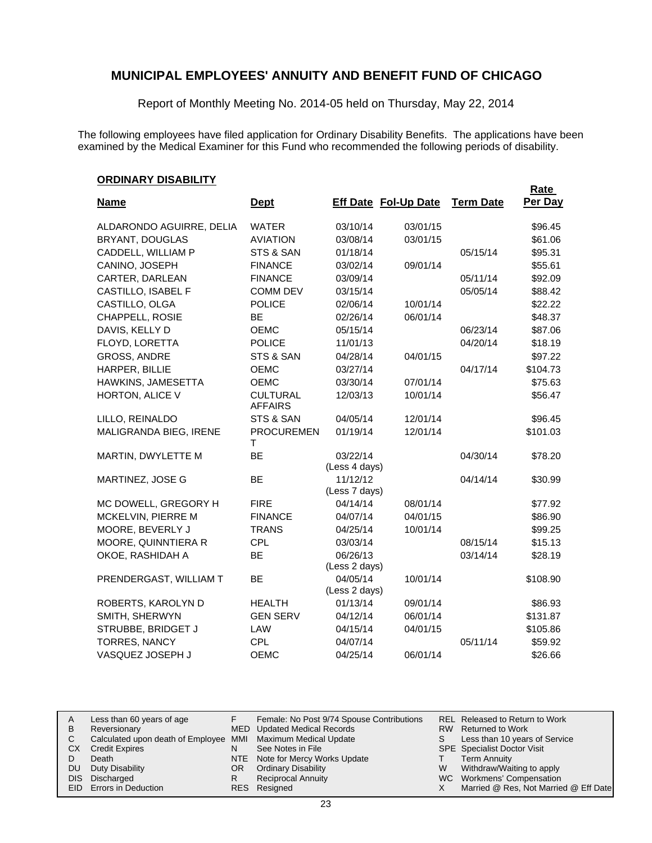Report of Monthly Meeting No. 2014-05 held on Thursday, May 22, 2014

The following employees have filed application for Ordinary Disability Benefits. The applications have been examined by the Medical Examiner for this Fund who recommended the following periods of disability.

### **ORDINARY DISABILITY**

|                          |                                   |                           |                             |                  | Rate     |
|--------------------------|-----------------------------------|---------------------------|-----------------------------|------------------|----------|
| <b>Name</b>              | <b>Dept</b>                       |                           | <b>Eff Date Fol-Up Date</b> | <b>Term Date</b> | Per Day  |
| ALDARONDO AGUIRRE, DELIA | <b>WATER</b>                      | 03/10/14                  | 03/01/15                    |                  | \$96.45  |
| <b>BRYANT, DOUGLAS</b>   | <b>AVIATION</b>                   | 03/08/14                  | 03/01/15                    |                  | \$61.06  |
| CADDELL, WILLIAM P       | STS & SAN                         | 01/18/14                  |                             | 05/15/14         | \$95.31  |
| CANINO, JOSEPH           | <b>FINANCE</b>                    | 03/02/14                  | 09/01/14                    |                  | \$55.61  |
| CARTER, DARLEAN          | <b>FINANCE</b>                    | 03/09/14                  |                             | 05/11/14         | \$92.09  |
| CASTILLO, ISABEL F       | <b>COMM DEV</b>                   | 03/15/14                  |                             | 05/05/14         | \$88.42  |
| CASTILLO, OLGA           | <b>POLICE</b>                     | 02/06/14                  | 10/01/14                    |                  | \$22.22  |
| CHAPPELL, ROSIE          | BE                                | 02/26/14                  | 06/01/14                    |                  | \$48.37  |
| DAVIS, KELLY D           | OEMC                              | 05/15/14                  |                             | 06/23/14         | \$87.06  |
| FLOYD, LORETTA           | <b>POLICE</b>                     | 11/01/13                  |                             | 04/20/14         | \$18.19  |
| <b>GROSS, ANDRE</b>      | STS & SAN                         | 04/28/14                  | 04/01/15                    |                  | \$97.22  |
| HARPER, BILLIE           | <b>OEMC</b>                       | 03/27/14                  |                             | 04/17/14         | \$104.73 |
| HAWKINS, JAMESETTA       | <b>OEMC</b>                       | 03/30/14                  | 07/01/14                    |                  | \$75.63  |
| HORTON, ALICE V          | <b>CULTURAL</b><br><b>AFFAIRS</b> | 12/03/13                  | 10/01/14                    |                  | \$56.47  |
| LILLO, REINALDO          | STS & SAN                         | 04/05/14                  | 12/01/14                    |                  | \$96.45  |
| MALIGRANDA BIEG, IRENE   | <b>PROCUREMEN</b><br>т            | 01/19/14                  | 12/01/14                    |                  | \$101.03 |
| MARTIN, DWYLETTE M       | BE                                | 03/22/14                  |                             | 04/30/14         | \$78.20  |
|                          |                                   | (Less 4 days)             |                             |                  |          |
| MARTINEZ, JOSE G         | BE                                | 11/12/12                  |                             | 04/14/14         | \$30.99  |
|                          |                                   | (Less 7 days)             |                             |                  |          |
| MC DOWELL, GREGORY H     | <b>FIRE</b>                       | 04/14/14                  | 08/01/14                    |                  | \$77.92  |
| MCKELVIN, PIERRE M       | <b>FINANCE</b>                    | 04/07/14                  | 04/01/15                    |                  | \$86.90  |
| MOORE, BEVERLY J         | <b>TRANS</b>                      | 04/25/14                  | 10/01/14                    |                  | \$99.25  |
| MOORE, QUINNTIERA R      | <b>CPL</b>                        | 03/03/14                  |                             | 08/15/14         | \$15.13  |
| OKOE, RASHIDAH A         | <b>BE</b>                         | 06/26/13<br>(Less 2 days) |                             | 03/14/14         | \$28.19  |
| PRENDERGAST, WILLIAM T   | <b>BE</b>                         | 04/05/14                  | 10/01/14                    |                  | \$108.90 |
|                          |                                   | (Less 2 days)             |                             |                  |          |
| ROBERTS, KAROLYN D       | <b>HEALTH</b>                     | 01/13/14                  | 09/01/14                    |                  | \$86.93  |
| SMITH, SHERWYN           | <b>GEN SERV</b>                   | 04/12/14                  | 06/01/14                    |                  | \$131.87 |
| STRUBBE, BRIDGET J       | LAW                               | 04/15/14                  | 04/01/15                    |                  | \$105.86 |
| <b>TORRES, NANCY</b>     | <b>CPL</b>                        | 04/07/14                  |                             | 05/11/14         | \$59.92  |
| VASQUEZ JOSEPH J         | <b>OEMC</b>                       | 04/25/14                  | 06/01/14                    |                  | \$26.66  |

| A  | Less than 60 years of age                                    |    | Female: No Post 9/74 Spouse Contributions |    | REL Released to Return to Work        |
|----|--------------------------------------------------------------|----|-------------------------------------------|----|---------------------------------------|
| В  | Reversionary                                                 |    | MED Updated Medical Records               |    | RW Returned to Work                   |
|    | Calculated upon death of Employee MMI Maximum Medical Update |    |                                           | S. | Less than 10 years of Service         |
| CХ | <b>Credit Expires</b>                                        | N  | See Notes in File                         |    | <b>SPE</b> Specialist Doctor Visit    |
|    | Death                                                        |    | NTE Note for Mercy Works Update           |    | <b>Term Annuity</b>                   |
| DU | Duty Disability                                              | OR | <b>Ordinary Disability</b>                | W  | Withdraw/Waiting to apply             |
|    | DIS Discharged                                               | R  | <b>Reciprocal Annuity</b>                 |    | WC Workmens' Compensation             |
|    | <b>EID</b> Errors in Deduction                               |    | RES Resigned                              |    | Married @ Res, Not Married @ Eff Date |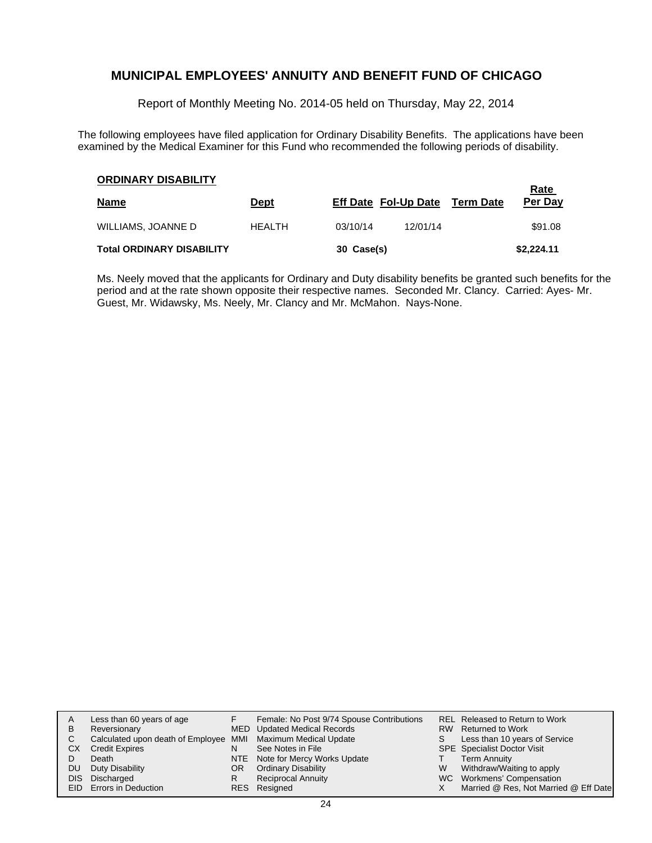Report of Monthly Meeting No. 2014-05 held on Thursday, May 22, 2014

The following employees have filed application for Ordinary Disability Benefits. The applications have been examined by the Medical Examiner for this Fund who recommended the following periods of disability.

| <b>ORDINARY DISABILITY</b>       |               |            |                                | Rate       |
|----------------------------------|---------------|------------|--------------------------------|------------|
| <u>Name</u>                      | <u>Dept</u>   |            | Eff Date Fol-Up Date Term Date | Per Day    |
| WILLIAMS, JOANNE D               | <b>HEALTH</b> | 03/10/14   | 12/01/14                       | \$91.08    |
| <b>Total ORDINARY DISABILITY</b> |               | 30 Case(s) |                                | \$2,224.11 |

Ms. Neely moved that the applicants for Ordinary and Duty disability benefits be granted such benefits for the period and at the rate shown opposite their respective names. Seconded Mr. Clancy. Carried: Ayes- Mr. Guest, Mr. Widawsky, Ms. Neely, Mr. Clancy and Mr. McMahon. Nays-None.

| A  | Less than 60 years of age                                    |            | Female: No Post 9/74 Spouse Contributions |   | REL Released to Return to Work        |
|----|--------------------------------------------------------------|------------|-------------------------------------------|---|---------------------------------------|
| в  | Reversionary                                                 |            | MED Updated Medical Records               |   | RW Returned to Work                   |
| С  | Calculated upon death of Employee MMI Maximum Medical Update |            |                                           | S | Less than 10 years of Service         |
| CХ | <b>Credit Expires</b>                                        | N          | See Notes in File                         |   | <b>SPE</b> Specialist Doctor Visit    |
|    | Death                                                        |            | NTE Note for Mercy Works Update           |   | <b>Term Annuity</b>                   |
| DU | Duty Disability                                              | OR         | <b>Ordinary Disability</b>                | W | Withdraw/Waiting to apply             |
|    | DIS Discharged                                               | R          | <b>Reciprocal Annuity</b>                 |   | WC Workmens' Compensation             |
|    | EID Errors in Deduction                                      | <b>RES</b> | Resigned                                  |   | Married @ Res, Not Married @ Eff Date |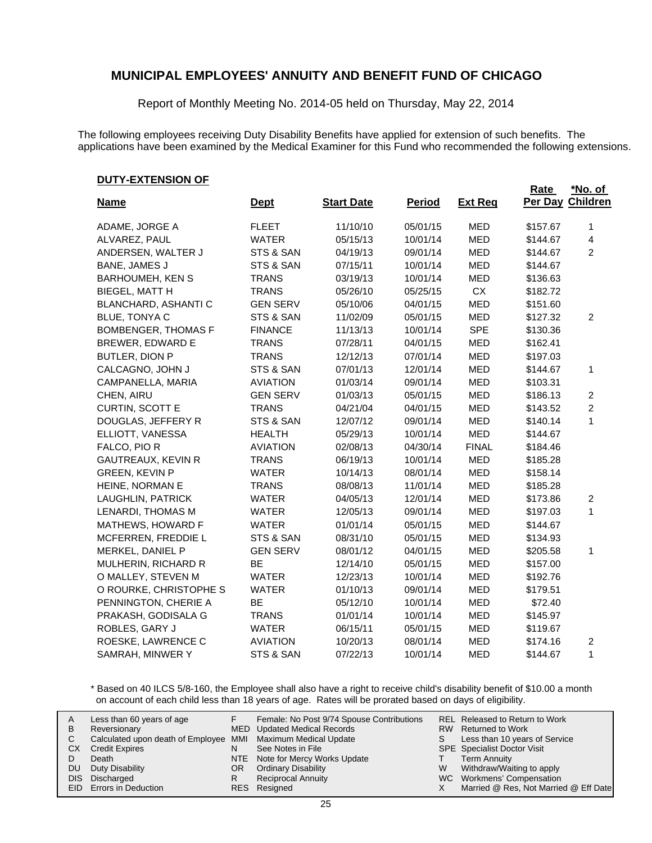Report of Monthly Meeting No. 2014-05 held on Thursday, May 22, 2014

The following employees receiving Duty Disability Benefits have applied for extension of such benefits. The applications have been examined by the Medical Examiner for this Fund who recommended the following extensions.

**Rate** 

#### **DUTY-EXTENSION OF**

|                             |                 |                   |               |                | Rate     | *No. of         |
|-----------------------------|-----------------|-------------------|---------------|----------------|----------|-----------------|
| <b>Name</b>                 | <b>Dept</b>     | <b>Start Date</b> | <b>Period</b> | <b>Ext Req</b> | Per Day  | <b>Children</b> |
| ADAME, JORGE A              | <b>FLEET</b>    | 11/10/10          | 05/01/15      | <b>MED</b>     | \$157.67 | 1               |
| ALVAREZ, PAUL               | <b>WATER</b>    | 05/15/13          | 10/01/14      | <b>MED</b>     | \$144.67 | 4               |
| ANDERSEN, WALTER J          | STS & SAN       | 04/19/13          | 09/01/14      | <b>MED</b>     | \$144.67 | $\overline{2}$  |
| BANE, JAMES J               | STS & SAN       | 07/15/11          | 10/01/14      | <b>MED</b>     | \$144.67 |                 |
| <b>BARHOUMEH, KEN S</b>     | <b>TRANS</b>    | 03/19/13          | 10/01/14      | <b>MED</b>     | \$136.63 |                 |
| BIEGEL, MATT H              | <b>TRANS</b>    | 05/26/10          | 05/25/15      | CX             | \$182.72 |                 |
| <b>BLANCHARD, ASHANTI C</b> | <b>GEN SERV</b> | 05/10/06          | 04/01/15      | <b>MED</b>     | \$151.60 |                 |
| <b>BLUE, TONYA C</b>        | STS & SAN       | 11/02/09          | 05/01/15      | <b>MED</b>     | \$127.32 | 2               |
| <b>BOMBENGER, THOMAS F</b>  | <b>FINANCE</b>  | 11/13/13          | 10/01/14      | <b>SPE</b>     | \$130.36 |                 |
| <b>BREWER, EDWARD E</b>     | <b>TRANS</b>    | 07/28/11          | 04/01/15      | <b>MED</b>     | \$162.41 |                 |
| BUTLER, DION P              | <b>TRANS</b>    | 12/12/13          | 07/01/14      | <b>MED</b>     | \$197.03 |                 |
| CALCAGNO, JOHN J            | STS & SAN       | 07/01/13          | 12/01/14      | <b>MED</b>     | \$144.67 | 1               |
| CAMPANELLA, MARIA           | <b>AVIATION</b> | 01/03/14          | 09/01/14      | <b>MED</b>     | \$103.31 |                 |
| CHEN, AIRU                  | <b>GEN SERV</b> | 01/03/13          | 05/01/15      | <b>MED</b>     | \$186.13 | $\overline{c}$  |
| CURTIN, SCOTT E             | <b>TRANS</b>    | 04/21/04          | 04/01/15      | <b>MED</b>     | \$143.52 | $\overline{c}$  |
| DOUGLAS, JEFFERY R          | STS & SAN       | 12/07/12          | 09/01/14      | <b>MED</b>     | \$140.14 | 1               |
| ELLIOTT, VANESSA            | <b>HEALTH</b>   | 05/29/13          | 10/01/14      | <b>MED</b>     | \$144.67 |                 |
| FALCO, PIO R                | <b>AVIATION</b> | 02/08/13          | 04/30/14      | <b>FINAL</b>   | \$184.46 |                 |
| GAUTREAUX, KEVIN R          | <b>TRANS</b>    | 06/19/13          | 10/01/14      | <b>MED</b>     | \$185.28 |                 |
| <b>GREEN, KEVIN P</b>       | <b>WATER</b>    | 10/14/13          | 08/01/14      | <b>MED</b>     | \$158.14 |                 |
| HEINE, NORMAN E             | <b>TRANS</b>    | 08/08/13          | 11/01/14      | <b>MED</b>     | \$185.28 |                 |
| LAUGHLIN, PATRICK           | <b>WATER</b>    | 04/05/13          | 12/01/14      | <b>MED</b>     | \$173.86 | 2               |
| LENARDI, THOMAS M           | <b>WATER</b>    | 12/05/13          | 09/01/14      | <b>MED</b>     | \$197.03 | 1               |
| MATHEWS, HOWARD F           | <b>WATER</b>    | 01/01/14          | 05/01/15      | <b>MED</b>     | \$144.67 |                 |
| MCFERREN, FREDDIE L         | STS & SAN       | 08/31/10          | 05/01/15      | <b>MED</b>     | \$134.93 |                 |
| MERKEL, DANIEL P            | <b>GEN SERV</b> | 08/01/12          | 04/01/15      | <b>MED</b>     | \$205.58 | $\mathbf{1}$    |
| MULHERIN, RICHARD R         | BE              | 12/14/10          | 05/01/15      | <b>MED</b>     | \$157.00 |                 |
| O MALLEY, STEVEN M          | <b>WATER</b>    | 12/23/13          | 10/01/14      | <b>MED</b>     | \$192.76 |                 |
| O ROURKE, CHRISTOPHE S      | <b>WATER</b>    | 01/10/13          | 09/01/14      | <b>MED</b>     | \$179.51 |                 |
| PENNINGTON, CHERIE A        | <b>BE</b>       | 05/12/10          | 10/01/14      | <b>MED</b>     | \$72.40  |                 |
| PRAKASH, GODISALA G         | <b>TRANS</b>    | 01/01/14          | 10/01/14      | MED            | \$145.97 |                 |
| ROBLES, GARY J              | WATER           | 06/15/11          | 05/01/15      | MED            | \$119.67 |                 |
| ROESKE, LAWRENCE C          | <b>AVIATION</b> | 10/20/13          | 08/01/14      | MED            | \$174.16 | 2               |
| SAMRAH, MINWER Y            | STS & SAN       | 07/22/13          | 10/01/14      | MED            | \$144.67 | 1               |

\* Based on 40 ILCS 5/8-160, the Employee shall also have a right to receive child's disability benefit of \$10.00 a month on account of each child less than 18 years of age. Rates will be prorated based on days of eligibility.

| A<br>в | Less than 60 years of age<br>Reversionary                    |    | Female: No Post 9/74 Spouse Contributions<br>MED Updated Medical Records |    | REL Released to Return to Work<br>RW Returned to Work |
|--------|--------------------------------------------------------------|----|--------------------------------------------------------------------------|----|-------------------------------------------------------|
|        | Calculated upon death of Employee MMI Maximum Medical Update |    |                                                                          | S. | Less than 10 years of Service                         |
| СX     | <b>Credit Expires</b>                                        | N  | See Notes in File                                                        |    | <b>SPE</b> Specialist Doctor Visit                    |
|        | Death                                                        |    | NTE Note for Mercy Works Update                                          |    | <b>Term Annuity</b>                                   |
| DU     | Duty Disability                                              | OR | <b>Ordinary Disability</b>                                               | W  | Withdraw/Waiting to apply                             |
| DIS.   | Discharged                                                   |    | <b>Reciprocal Annuity</b>                                                |    | WC Workmens' Compensation                             |
|        | EID Errors in Deduction                                      |    | RES Resigned                                                             |    | Married @ Res, Not Married @ Eff Date                 |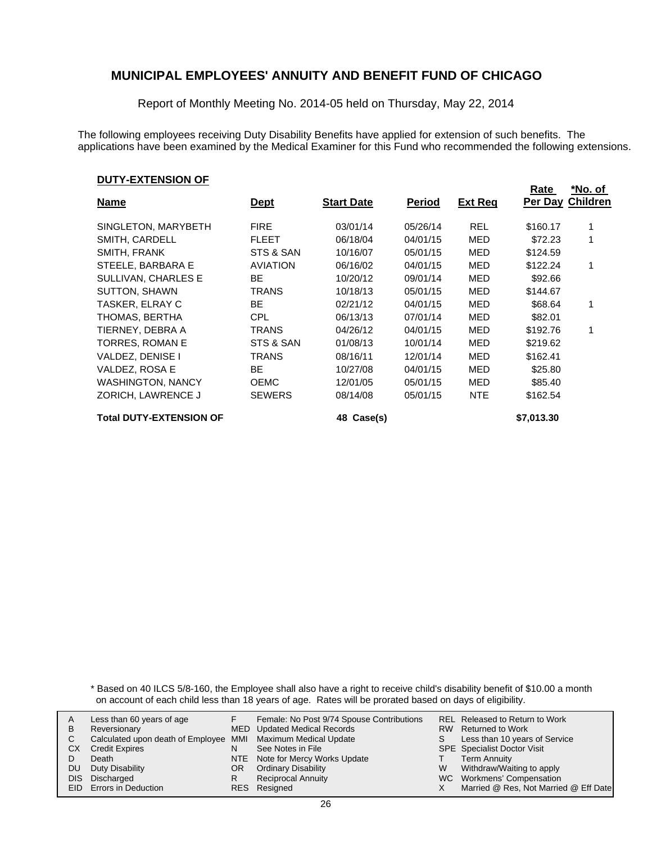Report of Monthly Meeting No. 2014-05 held on Thursday, May 22, 2014

The following employees receiving Duty Disability Benefits have applied for extension of such benefits. The applications have been examined by the Medical Examiner for this Fund who recommended the following extensions.

#### **DUTY-EXTENSION OF**

|                                |                 |                   |               |                | Rate       | *No. of          |
|--------------------------------|-----------------|-------------------|---------------|----------------|------------|------------------|
| <b>Name</b>                    | <u>Dept</u>     | <b>Start Date</b> | <b>Period</b> | <b>Ext Req</b> |            | Per Day Children |
|                                |                 |                   |               |                |            |                  |
| SINGLETON, MARYBETH            | <b>FIRE</b>     | 03/01/14          | 05/26/14      | <b>REL</b>     | \$160.17   |                  |
| SMITH, CARDELL                 | <b>FLEET</b>    | 06/18/04          | 04/01/15      | MED            | \$72.23    |                  |
| SMITH, FRANK                   | STS & SAN       | 10/16/07          | 05/01/15      | MED            | \$124.59   |                  |
| STEELE, BARBARA E              | <b>AVIATION</b> | 06/16/02          | 04/01/15      | MED            | \$122.24   |                  |
| SULLIVAN, CHARLES E            | ВE              | 10/20/12          | 09/01/14      | MED            | \$92.66    |                  |
| <b>SUTTON, SHAWN</b>           | TRANS           | 10/18/13          | 05/01/15      | MED            | \$144.67   |                  |
| TASKER, ELRAY C                | BE.             | 02/21/12          | 04/01/15      | MED            | \$68.64    |                  |
| THOMAS, BERTHA                 | <b>CPL</b>      | 06/13/13          | 07/01/14      | MED            | \$82.01    |                  |
| TIERNEY, DEBRA A               | TRANS           | 04/26/12          | 04/01/15      | MED            | \$192.76   |                  |
| TORRES, ROMAN E                | STS & SAN       | 01/08/13          | 10/01/14      | MED            | \$219.62   |                  |
| VALDEZ, DENISE I               | TRANS           | 08/16/11          | 12/01/14      | MED            | \$162.41   |                  |
| VALDEZ, ROSA E                 | BE              | 10/27/08          | 04/01/15      | MED            | \$25.80    |                  |
| <b>WASHINGTON, NANCY</b>       | <b>OEMC</b>     | 12/01/05          | 05/01/15      | MED            | \$85.40    |                  |
| ZORICH, LAWRENCE J             | <b>SEWERS</b>   | 08/14/08          | 05/01/15      | <b>NTE</b>     | \$162.54   |                  |
| <b>Total DUTY-EXTENSION OF</b> |                 | 48 Case(s)        |               |                | \$7,013.30 |                  |

\* Based on 40 ILCS 5/8-160, the Employee shall also have a right to receive child's disability benefit of \$10.00 a month on account of each child less than 18 years of age. Rates will be prorated based on days of eligibility.

| A  | Less than 60 years of age                                    |    | Female: No Post 9/74 Spouse Contributions |   | <b>REL Released to Return to Work</b> |
|----|--------------------------------------------------------------|----|-------------------------------------------|---|---------------------------------------|
| В  | Reversionary                                                 |    | MED Updated Medical Records               |   | RW Returned to Work                   |
|    | Calculated upon death of Employee MMI Maximum Medical Update |    |                                           |   | Less than 10 years of Service         |
| СX | <b>Credit Expires</b>                                        | N  | See Notes in File                         |   | <b>SPE</b> Specialist Doctor Visit    |
|    | Death                                                        |    | NTE Note for Mercy Works Update           |   | <b>Term Annuity</b>                   |
| DU | Duty Disability                                              | OR | <b>Ordinary Disability</b>                | W | Withdraw/Waiting to apply             |
|    | DIS Discharged                                               | R  | <b>Reciprocal Annuity</b>                 |   | WC Workmens' Compensation             |
|    | <b>EID</b> Errors in Deduction                               |    | RES Resigned                              |   | Married @ Res, Not Married @ Eff Date |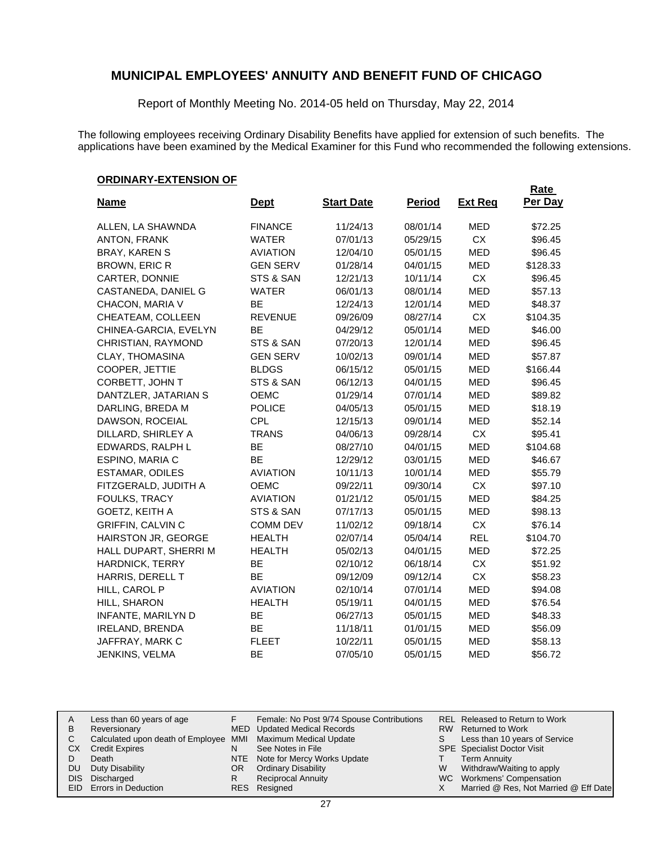Report of Monthly Meeting No. 2014-05 held on Thursday, May 22, 2014

The following employees receiving Ordinary Disability Benefits have applied for extension of such benefits. The applications have been examined by the Medical Examiner for this Fund who recommended the following extensions.

### **ORDINARY-EXTENSION OF**

| , , , , , , , , , , ,      |                 |                   |               |                | <b>Rate</b> |
|----------------------------|-----------------|-------------------|---------------|----------------|-------------|
| <b>Name</b>                | <u>Dept</u>     | <b>Start Date</b> | <b>Period</b> | <b>Ext Reg</b> | Per Day     |
| ALLEN, LA SHAWNDA          | <b>FINANCE</b>  | 11/24/13          | 08/01/14      | <b>MED</b>     | \$72.25     |
| <b>ANTON, FRANK</b>        | <b>WATER</b>    | 07/01/13          | 05/29/15      | <b>CX</b>      | \$96.45     |
| <b>BRAY, KAREN S</b>       | <b>AVIATION</b> | 12/04/10          | 05/01/15      | <b>MED</b>     | \$96.45     |
| <b>BROWN, ERIC R</b>       | <b>GEN SERV</b> | 01/28/14          | 04/01/15      | <b>MED</b>     | \$128.33    |
| CARTER, DONNIE             | STS & SAN       | 12/21/13          | 10/11/14      | <b>CX</b>      | \$96.45     |
| CASTANEDA, DANIEL G        | <b>WATER</b>    | 06/01/13          | 08/01/14      | <b>MED</b>     | \$57.13     |
| CHACON, MARIA V            | BE              | 12/24/13          | 12/01/14      | <b>MED</b>     | \$48.37     |
| CHEATEAM, COLLEEN          | <b>REVENUE</b>  | 09/26/09          | 08/27/14      | CX             | \$104.35    |
| CHINEA-GARCIA, EVELYN      | <b>BE</b>       | 04/29/12          | 05/01/14      | <b>MED</b>     | \$46.00     |
| CHRISTIAN, RAYMOND         | STS & SAN       | 07/20/13          | 12/01/14      | <b>MED</b>     | \$96.45     |
| <b>CLAY, THOMASINA</b>     | <b>GEN SERV</b> | 10/02/13          | 09/01/14      | <b>MED</b>     | \$57.87     |
| COOPER, JETTIE             | <b>BLDGS</b>    | 06/15/12          | 05/01/15      | <b>MED</b>     | \$166.44    |
| CORBETT, JOHN T            | STS & SAN       | 06/12/13          | 04/01/15      | <b>MED</b>     | \$96.45     |
| DANTZLER, JATARIAN S       | OEMC            | 01/29/14          | 07/01/14      | <b>MED</b>     | \$89.82     |
| DARLING, BREDA M           | <b>POLICE</b>   | 04/05/13          | 05/01/15      | <b>MED</b>     | \$18.19     |
| DAWSON, ROCEIAL            | <b>CPL</b>      | 12/15/13          | 09/01/14      | <b>MED</b>     | \$52.14     |
| DILLARD, SHIRLEY A         | <b>TRANS</b>    | 04/06/13          | 09/28/14      | CX             | \$95.41     |
| EDWARDS, RALPH L           | <b>BE</b>       | 08/27/10          | 04/01/15      | <b>MED</b>     | \$104.68    |
| ESPINO, MARIA C            | BE              | 12/29/12          | 03/01/15      | <b>MED</b>     | \$46.67     |
| ESTAMAR, ODILES            | <b>AVIATION</b> | 10/11/13          | 10/01/14      | <b>MED</b>     | \$55.79     |
| FITZGERALD, JUDITH A       | OEMC            | 09/22/11          | 09/30/14      | CX             | \$97.10     |
| FOULKS, TRACY              | <b>AVIATION</b> | 01/21/12          | 05/01/15      | <b>MED</b>     | \$84.25     |
| GOETZ, KEITH A             | STS & SAN       | 07/17/13          | 05/01/15      | <b>MED</b>     | \$98.13     |
| <b>GRIFFIN, CALVIN C</b>   | <b>COMM DEV</b> | 11/02/12          | 09/18/14      | CX             | \$76.14     |
| <b>HAIRSTON JR, GEORGE</b> | <b>HEALTH</b>   | 02/07/14          | 05/04/14      | <b>REL</b>     | \$104.70    |
| HALL DUPART, SHERRI M      | <b>HEALTH</b>   | 05/02/13          | 04/01/15      | <b>MED</b>     | \$72.25     |
| <b>HARDNICK, TERRY</b>     | BE              | 02/10/12          | 06/18/14      | CX             | \$51.92     |
| HARRIS, DERELL T           | BE              | 09/12/09          | 09/12/14      | CX             | \$58.23     |
| HILL, CAROL P              | <b>AVIATION</b> | 02/10/14          | 07/01/14      | <b>MED</b>     | \$94.08     |
| HILL, SHARON               | <b>HEALTH</b>   | 05/19/11          | 04/01/15      | <b>MED</b>     | \$76.54     |
| INFANTE, MARILYN D         | BE              | 06/27/13          | 05/01/15      | MED            | \$48.33     |
| <b>IRELAND, BRENDA</b>     | BE              | 11/18/11          | 01/01/15      | MED            | \$56.09     |
| JAFFRAY, MARK C            | <b>FLEET</b>    | 10/22/11          | 05/01/15      | MED            | \$58.13     |
| JENKINS, VELMA             | <b>BE</b>       | 07/05/10          | 05/01/15      | MED            | \$56.72     |

| A | Less than 60 years of age                                    |    | Female: No Post 9/74 Spouse Contributions |    | REL Released to Return to Work        |
|---|--------------------------------------------------------------|----|-------------------------------------------|----|---------------------------------------|
| В | Reversionary                                                 |    | <b>MED</b> Updated Medical Records        |    | RW Returned to Work                   |
|   | Calculated upon death of Employee MMI Maximum Medical Update |    |                                           | S. | Less than 10 years of Service         |
|   | СX<br><b>Credit Expires</b>                                  | N  | See Notes in File                         |    | <b>SPE</b> Specialist Doctor Visit    |
|   | Death                                                        |    | NTE Note for Mercy Works Update           |    | <b>Term Annuity</b>                   |
|   | Duty Disability<br>DU                                        | OR | <b>Ordinary Disability</b>                | W  | Withdraw/Waiting to apply             |
|   | DIS Discharged                                               | R  | <b>Reciprocal Annuity</b>                 |    | WC Workmens' Compensation             |
|   | EID Errors in Deduction                                      |    | RES Resigned                              |    | Married @ Res, Not Married @ Eff Date |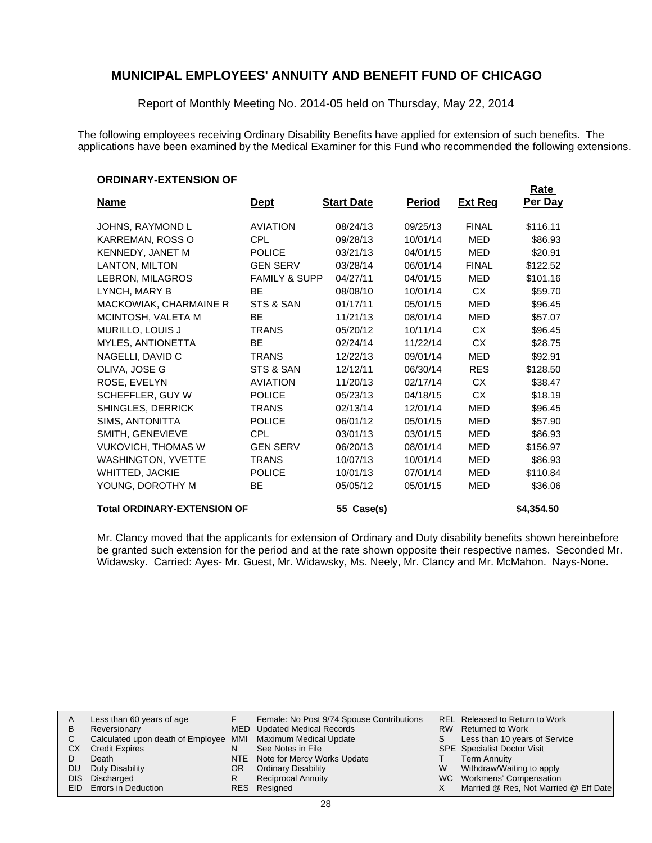Report of Monthly Meeting No. 2014-05 held on Thursday, May 22, 2014

The following employees receiving Ordinary Disability Benefits have applied for extension of such benefits. The applications have been examined by the Medical Examiner for this Fund who recommended the following extensions.

**Rate** 

#### **ORDINARY-EXTENSION OF**

| <u>Name</u>                        | <u>Dept</u>              | <b>Start Date</b> | <b>Period</b> | <u>Ext Req</u> | $\sim$<br><b>Per Day</b> |
|------------------------------------|--------------------------|-------------------|---------------|----------------|--------------------------|
| JOHNS, RAYMOND L                   | <b>AVIATION</b>          | 08/24/13          | 09/25/13      | <b>FINAL</b>   | \$116.11                 |
| KARREMAN, ROSS O                   | CPL                      | 09/28/13          | 10/01/14      | MED            | \$86.93                  |
| KENNEDY, JANET M                   | <b>POLICE</b>            | 03/21/13          | 04/01/15      | <b>MED</b>     | \$20.91                  |
| LANTON, MILTON                     | <b>GEN SERV</b>          | 03/28/14          | 06/01/14      | <b>FINAL</b>   | \$122.52                 |
| LEBRON, MILAGROS                   | <b>FAMILY &amp; SUPP</b> | 04/27/11          | 04/01/15      | MED            | \$101.16                 |
| LYNCH, MARY B                      | BE                       | 08/08/10          | 10/01/14      | CX             | \$59.70                  |
| MACKOWIAK, CHARMAINE R             | STS & SAN                | 01/17/11          | 05/01/15      | <b>MED</b>     | \$96.45                  |
| MCINTOSH, VALETA M                 | <b>BE</b>                | 11/21/13          | 08/01/14      | <b>MED</b>     | \$57.07                  |
| MURILLO, LOUIS J                   | <b>TRANS</b>             | 05/20/12          | 10/11/14      | CX             | \$96.45                  |
| MYLES, ANTIONETTA                  | <b>BE</b>                | 02/24/14          | 11/22/14      | <b>CX</b>      | \$28.75                  |
| NAGELLI, DAVID C                   | <b>TRANS</b>             | 12/22/13          | 09/01/14      | <b>MED</b>     | \$92.91                  |
| OLIVA, JOSE G                      | STS & SAN                | 12/12/11          | 06/30/14      | <b>RES</b>     | \$128.50                 |
| ROSE, EVELYN                       | <b>AVIATION</b>          | 11/20/13          | 02/17/14      | <b>CX</b>      | \$38.47                  |
| SCHEFFLER, GUY W                   | <b>POLICE</b>            | 05/23/13          | 04/18/15      | CX.            | \$18.19                  |
| SHINGLES, DERRICK                  | <b>TRANS</b>             | 02/13/14          | 12/01/14      | <b>MED</b>     | \$96.45                  |
| SIMS, ANTONITTA                    | <b>POLICE</b>            | 06/01/12          | 05/01/15      | MED            | \$57.90                  |
| SMITH, GENEVIEVE                   | <b>CPL</b>               | 03/01/13          | 03/01/15      | <b>MED</b>     | \$86.93                  |
| <b>VUKOVICH, THOMAS W</b>          | <b>GEN SERV</b>          | 06/20/13          | 08/01/14      | <b>MED</b>     | \$156.97                 |
| <b>WASHINGTON, YVETTE</b>          | <b>TRANS</b>             | 10/07/13          | 10/01/14      | MED            | \$86.93                  |
| <b>WHITTED, JACKIE</b>             | <b>POLICE</b>            | 10/01/13          | 07/01/14      | MED            | \$110.84                 |
| YOUNG, DOROTHY M                   | <b>BE</b>                | 05/05/12          | 05/01/15      | <b>MED</b>     | \$36.06                  |
| <b>Total ORDINARY-EXTENSION OF</b> |                          | 55 Case(s)        |               |                | \$4,354.50               |

Mr. Clancy moved that the applicants for extension of Ordinary and Duty disability benefits shown hereinbefore be granted such extension for the period and at the rate shown opposite their respective names. Seconded Mr. Widawsky. Carried: Ayes- Mr. Guest, Mr. Widawsky, Ms. Neely, Mr. Clancy and Mr. McMahon. Nays-None.

|    | Less than 60 years of age                                    |     | Female: No Post 9/74 Spouse Contributions |    | REL Released to Return to Work        |
|----|--------------------------------------------------------------|-----|-------------------------------------------|----|---------------------------------------|
| в  | Reversionary                                                 |     | <b>MED</b> Updated Medical Records        |    | RW Returned to Work                   |
| С  | Calculated upon death of Employee MMI Maximum Medical Update |     |                                           | S. | Less than 10 years of Service         |
| CХ | <b>Credit Expires</b>                                        | N   | See Notes in File                         |    | <b>SPE</b> Specialist Doctor Visit    |
|    | Death                                                        |     | NTE Note for Mercy Works Update           |    | <b>Term Annuity</b>                   |
| DU | Duty Disability                                              | OR. | <b>Ordinary Disability</b>                | W  | Withdraw/Waiting to apply             |
|    | DIS Discharged                                               | R   | <b>Reciprocal Annuity</b>                 |    | WC Workmens' Compensation             |
|    | <b>EID</b> Errors in Deduction                               |     | RES Resigned                              |    | Married @ Res, Not Married @ Eff Date |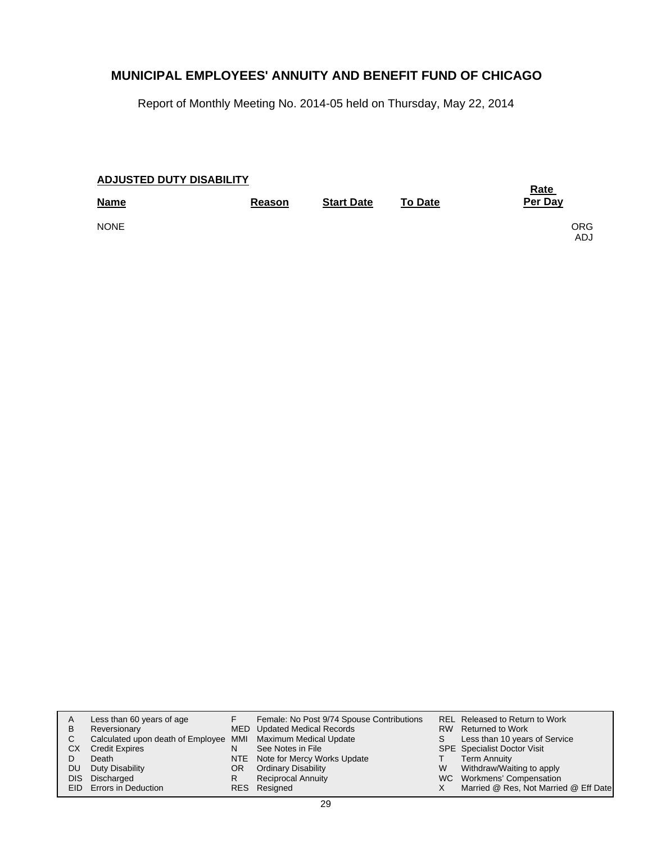Report of Monthly Meeting No. 2014-05 held on Thursday, May 22, 2014

| <b>ADJUSTED DUTY DISABILITY</b> |        |                   |                | <b>Rate</b>  |
|---------------------------------|--------|-------------------|----------------|--------------|
| <b>Name</b>                     | Reason | <b>Start Date</b> | <b>To Date</b> | Per Day      |
| <b>NONE</b>                     |        |                   |                | ORG.<br>ADJ. |

| WC Workmens' Compensation<br><b>Reciprocal Annuity</b><br>Discharged<br><b>DIS</b><br>R | REL Released to Return to Work<br>Less than 10 years of Service<br>Withdraw/Waiting to apply |
|-----------------------------------------------------------------------------------------|----------------------------------------------------------------------------------------------|
| Married @ Res, Not Married @ Eff Date<br>EID Errors in Deduction<br>RES Resigned        |                                                                                              |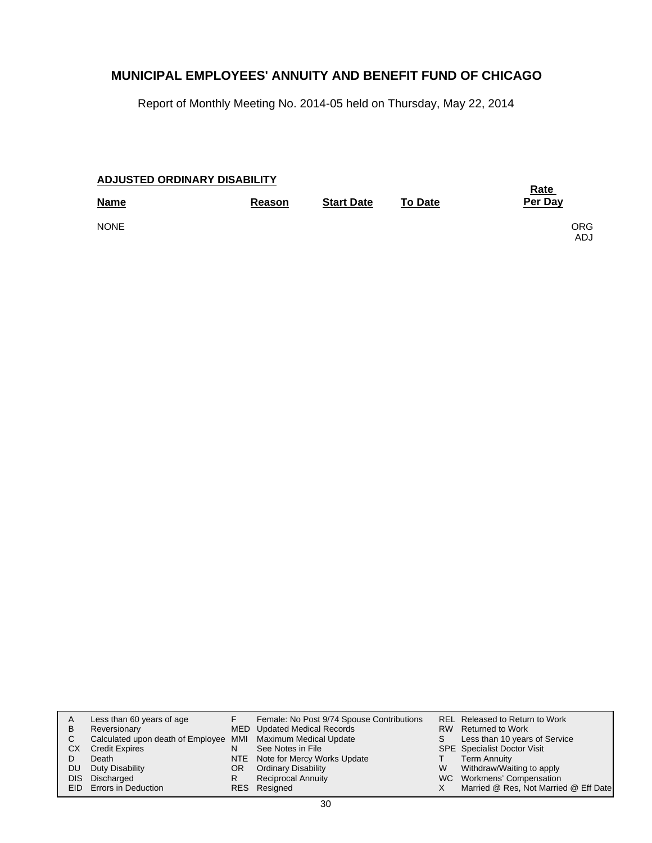Report of Monthly Meeting No. 2014-05 held on Thursday, May 22, 2014

| ADJUSTED ORDINARY DISABILITY |               |                   |                | <b>Rate</b>  |
|------------------------------|---------------|-------------------|----------------|--------------|
| <b>Name</b>                  | <b>Reason</b> | <b>Start Date</b> | <b>To Date</b> | Per Day      |
| <b>NONE</b>                  |               |                   |                | ORG.<br>ADJ. |

| A<br>B      | Less than 60 years of age<br>Reversionary                                                      |    | Female: No Post 9/74 Spouse Contributions<br>MED Updated Medical Records | S | REL Released to Return to Work<br>RW Returned to Work                                           |
|-------------|------------------------------------------------------------------------------------------------|----|--------------------------------------------------------------------------|---|-------------------------------------------------------------------------------------------------|
| C<br>СX     | Calculated upon death of Employee MMI Maximum Medical Update<br><b>Credit Expires</b><br>Death | N  | See Notes in File<br>NTE Note for Mercy Works Update                     |   | Less than 10 years of Service<br><b>SPE</b> Specialist Doctor Visit<br><b>Term Annuity</b>      |
| DU.<br>DIS. | Duty Disability<br>Discharged<br><b>EID</b> Errors in Deduction                                | OR | <b>Ordinary Disability</b><br><b>Reciprocal Annuity</b><br>RES Resigned  | W | Withdraw/Waiting to apply<br>WC Workmens' Compensation<br>Married @ Res, Not Married @ Eff Date |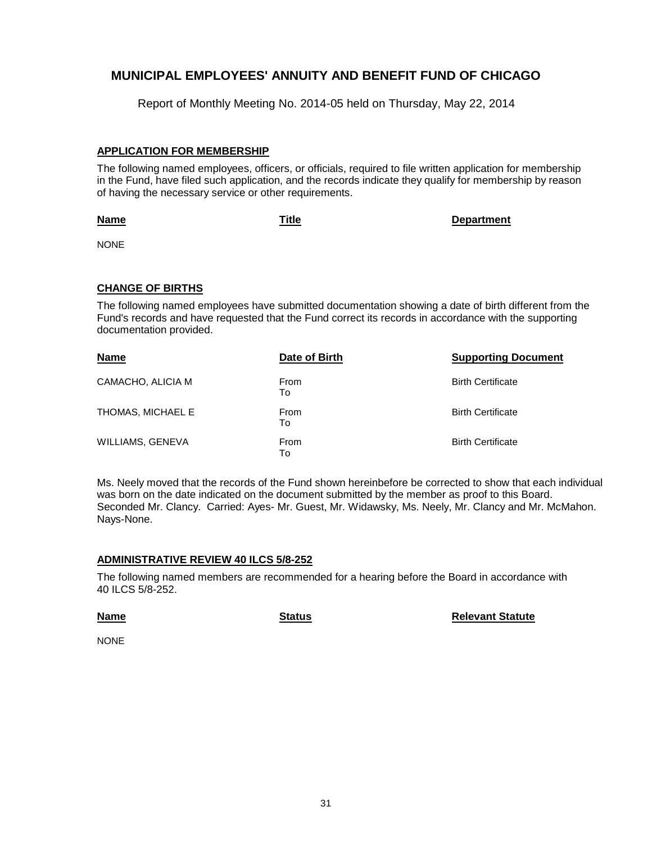Report of Monthly Meeting No. 2014-05 held on Thursday, May 22, 2014

### **APPLICATION FOR MEMBERSHIP**

The following named employees, officers, or officials, required to file written application for membership in the Fund, have filed such application, and the records indicate they qualify for membership by reason of having the necessary service or other requirements.

#### **Name**

**Title Department**

NONE

### **CHANGE OF BIRTHS**

The following named employees have submitted documentation showing a date of birth different from the Fund's records and have requested that the Fund correct its records in accordance with the supporting documentation provided.

| <b>Name</b>       | Date of Birth     | <b>Supporting Document</b> |
|-------------------|-------------------|----------------------------|
| CAMACHO, ALICIA M | <b>From</b><br>То | <b>Birth Certificate</b>   |
| THOMAS, MICHAEL E | From<br>To        | <b>Birth Certificate</b>   |
| WILLIAMS, GENEVA  | From<br>To        | <b>Birth Certificate</b>   |

Ms. Neely moved that the records of the Fund shown hereinbefore be corrected to show that each individual was born on the date indicated on the document submitted by the member as proof to this Board. Seconded Mr. Clancy. Carried: Ayes- Mr. Guest, Mr. Widawsky, Ms. Neely, Mr. Clancy and Mr. McMahon. Nays-None.

### **ADMINISTRATIVE REVIEW 40 ILCS 5/8-252**

The following named members are recommended for a hearing before the Board in accordance with 40 ILCS 5/8-252.

#### **Name**

**Status Relevant Statute**

NONE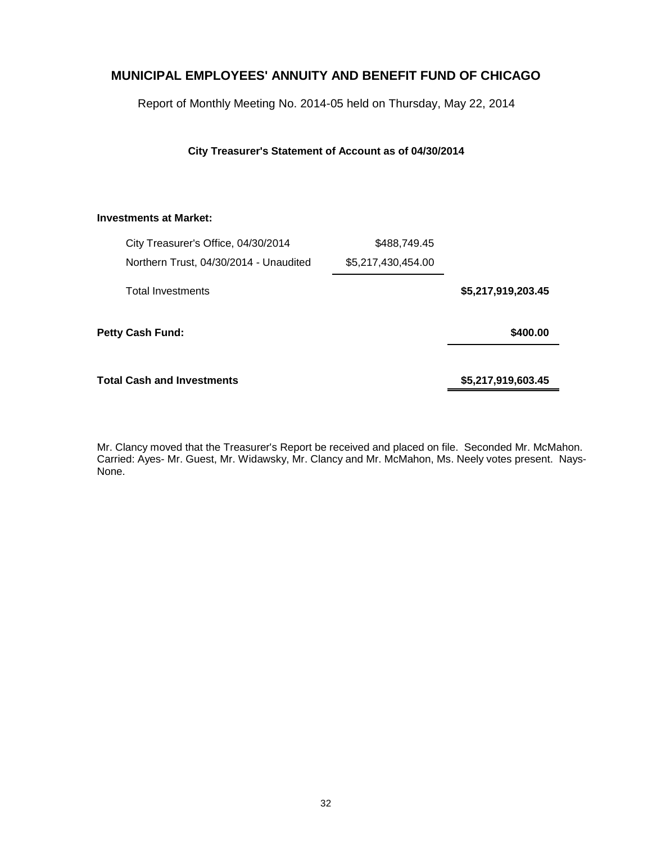Report of Monthly Meeting No. 2014-05 held on Thursday, May 22, 2014

### **City Treasurer's Statement of Account as of 04/30/2014**

### **Investments at Market:**

|                    | \$488,749.45       | City Treasurer's Office, 04/30/2014    |  |
|--------------------|--------------------|----------------------------------------|--|
|                    | \$5,217,430,454.00 | Northern Trust, 04/30/2014 - Unaudited |  |
| \$5,217,919,203.45 |                    | <b>Total Investments</b>               |  |
| \$400.00           |                    | Petty Cash Fund:                       |  |
| \$5,217,919,603.45 |                    | <b>Total Cash and Investments</b>      |  |

Mr. Clancy moved that the Treasurer's Report be received and placed on file. Seconded Mr. McMahon. Carried: Ayes- Mr. Guest, Mr. Widawsky, Mr. Clancy and Mr. McMahon, Ms. Neely votes present. Nays-None.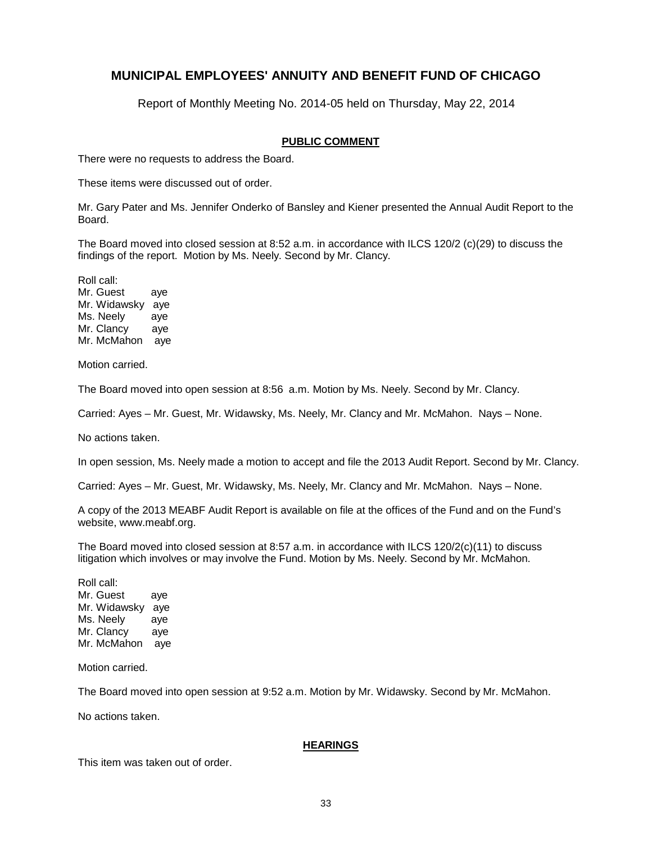Report of Monthly Meeting No. 2014-05 held on Thursday, May 22, 2014

### **PUBLIC COMMENT**

There were no requests to address the Board.

These items were discussed out of order.

Mr. Gary Pater and Ms. Jennifer Onderko of Bansley and Kiener presented the Annual Audit Report to the Board.

The Board moved into closed session at 8:52 a.m. in accordance with ILCS 120/2 (c)(29) to discuss the findings of the report. Motion by Ms. Neely. Second by Mr. Clancy.

Roll call: Mr. Guest aye Mr. Widawsky aye Ms. Neely aye Mr. Clancy aye Mr. McMahon aye

Motion carried.

The Board moved into open session at 8:56 a.m. Motion by Ms. Neely. Second by Mr. Clancy.

Carried: Ayes – Mr. Guest, Mr. Widawsky, Ms. Neely, Mr. Clancy and Mr. McMahon. Nays – None.

No actions taken.

In open session, Ms. Neely made a motion to accept and file the 2013 Audit Report. Second by Mr. Clancy.

Carried: Ayes – Mr. Guest, Mr. Widawsky, Ms. Neely, Mr. Clancy and Mr. McMahon. Nays – None.

A copy of the 2013 MEABF Audit Report is available on file at the offices of the Fund and on the Fund's website, www.meabf.org.

The Board moved into closed session at 8:57 a.m. in accordance with ILCS 120/2(c)(11) to discuss litigation which involves or may involve the Fund. Motion by Ms. Neely. Second by Mr. McMahon.

Roll call: Mr. Guest aye Mr. Widawsky aye Ms. Neely aye Mr. Clancy aye Mr. McMahon aye

Motion carried.

The Board moved into open session at 9:52 a.m. Motion by Mr. Widawsky. Second by Mr. McMahon.

No actions taken.

#### **HEARINGS**

This item was taken out of order.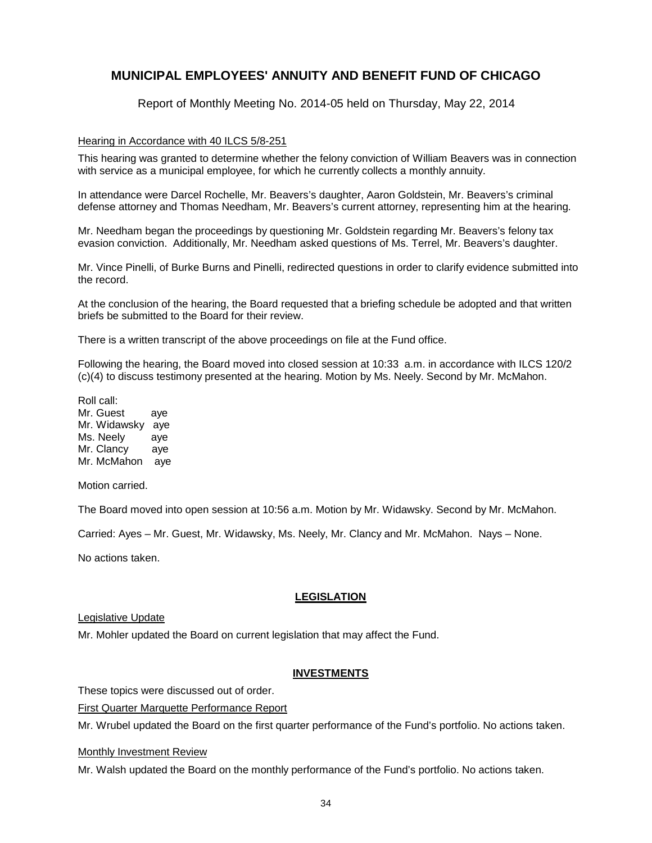Report of Monthly Meeting No. 2014-05 held on Thursday, May 22, 2014

### Hearing in Accordance with 40 ILCS 5/8-251

This hearing was granted to determine whether the felony conviction of William Beavers was in connection with service as a municipal employee, for which he currently collects a monthly annuity.

In attendance were Darcel Rochelle, Mr. Beavers's daughter, Aaron Goldstein, Mr. Beavers's criminal defense attorney and Thomas Needham, Mr. Beavers's current attorney, representing him at the hearing.

Mr. Needham began the proceedings by questioning Mr. Goldstein regarding Mr. Beavers's felony tax evasion conviction. Additionally, Mr. Needham asked questions of Ms. Terrel, Mr. Beavers's daughter.

Mr. Vince Pinelli, of Burke Burns and Pinelli, redirected questions in order to clarify evidence submitted into the record.

At the conclusion of the hearing, the Board requested that a briefing schedule be adopted and that written briefs be submitted to the Board for their review.

There is a written transcript of the above proceedings on file at the Fund office.

Following the hearing, the Board moved into closed session at 10:33 a.m. in accordance with ILCS 120/2 (c)(4) to discuss testimony presented at the hearing. Motion by Ms. Neely. Second by Mr. McMahon.

Roll call: Mr. Guest aye Mr. Widawsky aye Ms. Neely aye Mr. Clancy aye Mr. McMahon aye

Motion carried.

The Board moved into open session at 10:56 a.m. Motion by Mr. Widawsky. Second by Mr. McMahon.

Carried: Ayes – Mr. Guest, Mr. Widawsky, Ms. Neely, Mr. Clancy and Mr. McMahon. Nays – None.

No actions taken.

### **LEGISLATION**

#### Legislative Update

Mr. Mohler updated the Board on current legislation that may affect the Fund.

#### **INVESTMENTS**

These topics were discussed out of order.

First Quarter Marquette Performance Report

Mr. Wrubel updated the Board on the first quarter performance of the Fund's portfolio. No actions taken.

### Monthly Investment Review

Mr. Walsh updated the Board on the monthly performance of the Fund's portfolio. No actions taken.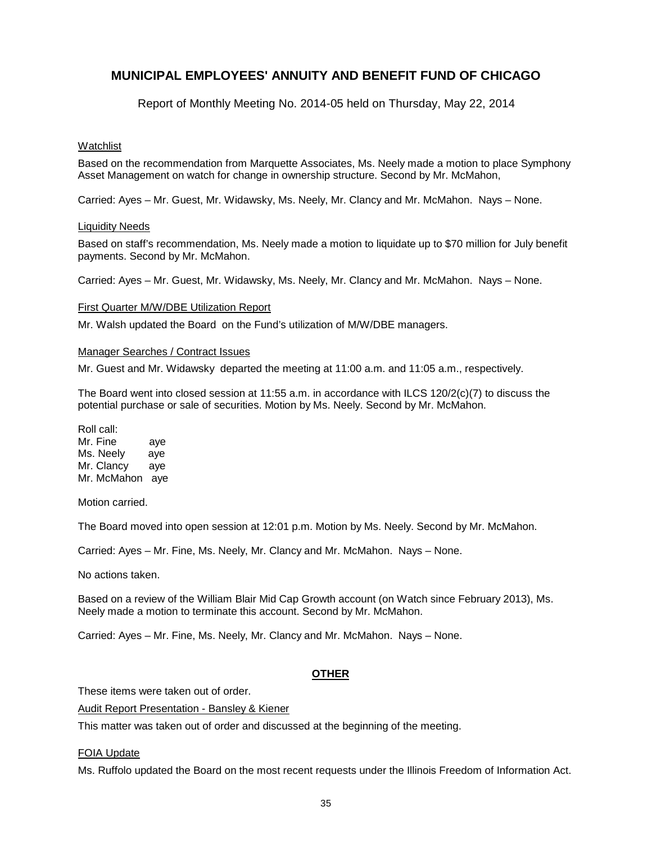Report of Monthly Meeting No. 2014-05 held on Thursday, May 22, 2014

### Watchlist

Based on the recommendation from Marquette Associates, Ms. Neely made a motion to place Symphony Asset Management on watch for change in ownership structure. Second by Mr. McMahon,

Carried: Ayes – Mr. Guest, Mr. Widawsky, Ms. Neely, Mr. Clancy and Mr. McMahon. Nays – None.

#### Liquidity Needs

Based on staff's recommendation, Ms. Neely made a motion to liquidate up to \$70 million for July benefit payments. Second by Mr. McMahon.

Carried: Ayes – Mr. Guest, Mr. Widawsky, Ms. Neely, Mr. Clancy and Mr. McMahon. Nays – None.

#### First Quarter M/W/DBE Utilization Report

Mr. Walsh updated the Board on the Fund's utilization of M/W/DBE managers.

#### Manager Searches / Contract Issues

Mr. Guest and Mr. Widawsky departed the meeting at 11:00 a.m. and 11:05 a.m., respectively.

The Board went into closed session at 11:55 a.m. in accordance with ILCS 120/2(c)(7) to discuss the potential purchase or sale of securities. Motion by Ms. Neely. Second by Mr. McMahon.

Roll call: Mr. Fine aye Ms. Neely aye Mr. Clancy aye Mr. McMahon aye

Motion carried.

The Board moved into open session at 12:01 p.m. Motion by Ms. Neely. Second by Mr. McMahon.

Carried: Ayes – Mr. Fine, Ms. Neely, Mr. Clancy and Mr. McMahon. Nays – None.

No actions taken.

Based on a review of the William Blair Mid Cap Growth account (on Watch since February 2013), Ms. Neely made a motion to terminate this account. Second by Mr. McMahon.

Carried: Ayes – Mr. Fine, Ms. Neely, Mr. Clancy and Mr. McMahon. Nays – None.

#### **OTHER**

These items were taken out of order.

Audit Report Presentation - Bansley & Kiener

This matter was taken out of order and discussed at the beginning of the meeting.

#### FOIA Update

Ms. Ruffolo updated the Board on the most recent requests under the Illinois Freedom of Information Act.